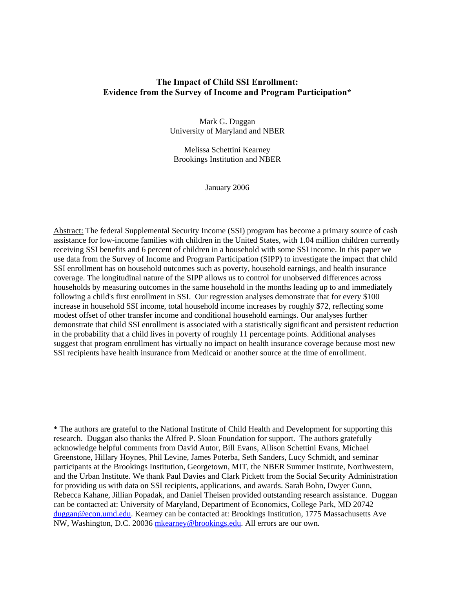## **The Impact of Child SSI Enrollment: Evidence from the Survey of Income and Program Participation\***

Mark G. Duggan University of Maryland and NBER

Melissa Schettini Kearney Brookings Institution and NBER

January 2006

Abstract: The federal Supplemental Security Income (SSI) program has become a primary source of cash assistance for low-income families with children in the United States, with 1.04 million children currently receiving SSI benefits and 6 percent of children in a household with some SSI income. In this paper we use data from the Survey of Income and Program Participation (SIPP) to investigate the impact that child SSI enrollment has on household outcomes such as poverty, household earnings, and health insurance coverage. The longitudinal nature of the SIPP allows us to control for unobserved differences across households by measuring outcomes in the same household in the months leading up to and immediately following a child's first enrollment in SSI. Our regression analyses demonstrate that for every \$100 increase in household SSI income, total household income increases by roughly \$72, reflecting some modest offset of other transfer income and conditional household earnings. Our analyses further demonstrate that child SSI enrollment is associated with a statistically significant and persistent reduction in the probability that a child lives in poverty of roughly 11 percentage points. Additional analyses suggest that program enrollment has virtually no impact on health insurance coverage because most new SSI recipients have health insurance from Medicaid or another source at the time of enrollment.

\* The authors are grateful to the National Institute of Child Health and Development for supporting this research. Duggan also thanks the Alfred P. Sloan Foundation for support. The authors gratefully acknowledge helpful comments from David Autor, Bill Evans, Allison Schettini Evans, Michael Greenstone, Hillary Hoynes, Phil Levine, James Poterba, Seth Sanders, Lucy Schmidt, and seminar participants at the Brookings Institution, Georgetown, MIT, the NBER Summer Institute, Northwestern, and the Urban Institute. We thank Paul Davies and Clark Pickett from the Social Security Administration for providing us with data on SSI recipients, applications, and awards. Sarah Bohn, Dwyer Gunn, Rebecca Kahane, Jillian Popadak, and Daniel Theisen provided outstanding research assistance. Duggan can be contacted at: University of Maryland, Department of Economics, College Park, MD 20742 duggan@econ.umd.edu. Kearney can be contacted at: Brookings Institution, 1775 Massachusetts Ave NW, Washington, D.C. 20036 mkearney@brookings.edu. All errors are our own.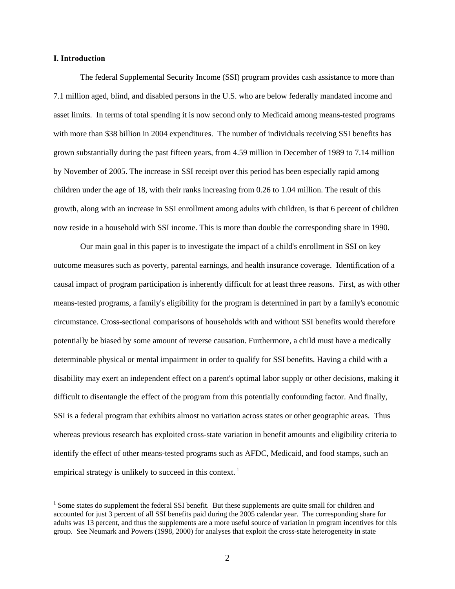#### **I. Introduction**

 $\overline{a}$ 

 The federal Supplemental Security Income (SSI) program provides cash assistance to more than 7.1 million aged, blind, and disabled persons in the U.S. who are below federally mandated income and asset limits. In terms of total spending it is now second only to Medicaid among means-tested programs with more than \$38 billion in 2004 expenditures. The number of individuals receiving SSI benefits has grown substantially during the past fifteen years, from 4.59 million in December of 1989 to 7.14 million by November of 2005. The increase in SSI receipt over this period has been especially rapid among children under the age of 18, with their ranks increasing from 0.26 to 1.04 million. The result of this growth, along with an increase in SSI enrollment among adults with children, is that 6 percent of children now reside in a household with SSI income. This is more than double the corresponding share in 1990.

Our main goal in this paper is to investigate the impact of a child's enrollment in SSI on key outcome measures such as poverty, parental earnings, and health insurance coverage. Identification of a causal impact of program participation is inherently difficult for at least three reasons. First, as with other means-tested programs, a family's eligibility for the program is determined in part by a family's economic circumstance. Cross-sectional comparisons of households with and without SSI benefits would therefore potentially be biased by some amount of reverse causation. Furthermore, a child must have a medically determinable physical or mental impairment in order to qualify for SSI benefits. Having a child with a disability may exert an independent effect on a parent's optimal labor supply or other decisions, making it difficult to disentangle the effect of the program from this potentially confounding factor. And finally, SSI is a federal program that exhibits almost no variation across states or other geographic areas. Thus whereas previous research has exploited cross-state variation in benefit amounts and eligibility criteria to identify the effect of other means-tested programs such as AFDC, Medicaid, and food stamps, such an empirical strategy is unlikely to succeed in this context.  $\frac{1}{1}$ 

<sup>&</sup>lt;sup>1</sup> Some states do supplement the federal SSI benefit. But these supplements are quite small for children and accounted for just 3 percent of all SSI benefits paid during the 2005 calendar year. The corresponding share for adults was 13 percent, and thus the supplements are a more useful source of variation in program incentives for this group. See Neumark and Powers (1998, 2000) for analyses that exploit the cross-state heterogeneity in state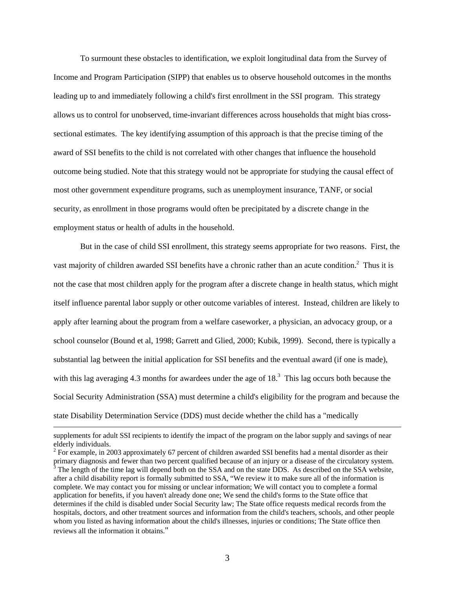To surmount these obstacles to identification, we exploit longitudinal data from the Survey of Income and Program Participation (SIPP) that enables us to observe household outcomes in the months leading up to and immediately following a child's first enrollment in the SSI program. This strategy allows us to control for unobserved, time-invariant differences across households that might bias crosssectional estimates. The key identifying assumption of this approach is that the precise timing of the award of SSI benefits to the child is not correlated with other changes that influence the household outcome being studied. Note that this strategy would not be appropriate for studying the causal effect of most other government expenditure programs, such as unemployment insurance, TANF, or social security, as enrollment in those programs would often be precipitated by a discrete change in the employment status or health of adults in the household.

But in the case of child SSI enrollment, this strategy seems appropriate for two reasons. First, the vast majority of children awarded SSI benefits have a chronic rather than an acute condition.<sup>2</sup> Thus it is not the case that most children apply for the program after a discrete change in health status, which might itself influence parental labor supply or other outcome variables of interest. Instead, children are likely to apply after learning about the program from a welfare caseworker, a physician, an advocacy group, or a school counselor (Bound et al, 1998; Garrett and Glied, 2000; Kubik, 1999). Second, there is typically a substantial lag between the initial application for SSI benefits and the eventual award (if one is made), with this lag averaging 4.3 months for awardees under the age of  $18<sup>3</sup>$ . This lag occurs both because the Social Security Administration (SSA) must determine a child's eligibility for the program and because the state Disability Determination Service (DDS) must decide whether the child has a "medically

supplements for adult SSI recipients to identify the impact of the program on the labor supply and savings of near elderly individuals.

 $2^2$  For example, in 2003 approximately 67 percent of children awarded SSI benefits had a mental disorder as their primary diagnosis and fewer than two percent qualified because of an injury or a disease of the circulatory system.<br><sup>3</sup> The length of the time lag will depend both on the SSA and on the state DDS. As described on the SSA w after a child disability report is formally submitted to SSA, "We review it to make sure all of the information is complete. We may contact you for missing or unclear information; We will contact you to complete a formal application for benefits, if you haven't already done one; We send the child's forms to the State office that determines if the child is disabled under Social Security law; The State office requests medical records from the hospitals, doctors, and other treatment sources and information from the child's teachers, schools, and other people whom you listed as having information about the child's illnesses, injuries or conditions; The State office then reviews all the information it obtains."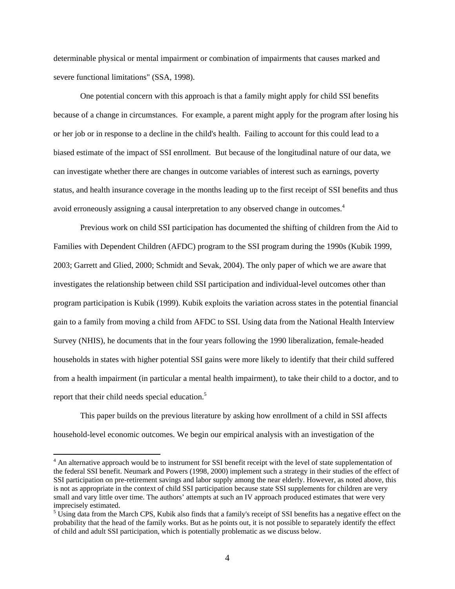determinable physical or mental impairment or combination of impairments that causes marked and severe functional limitations" (SSA, 1998).

One potential concern with this approach is that a family might apply for child SSI benefits because of a change in circumstances. For example, a parent might apply for the program after losing his or her job or in response to a decline in the child's health. Failing to account for this could lead to a biased estimate of the impact of SSI enrollment. But because of the longitudinal nature of our data, we can investigate whether there are changes in outcome variables of interest such as earnings, poverty status, and health insurance coverage in the months leading up to the first receipt of SSI benefits and thus avoid erroneously assigning a causal interpretation to any observed change in outcomes.<sup>4</sup>

Previous work on child SSI participation has documented the shifting of children from the Aid to Families with Dependent Children (AFDC) program to the SSI program during the 1990s (Kubik 1999, 2003; Garrett and Glied, 2000; Schmidt and Sevak, 2004). The only paper of which we are aware that investigates the relationship between child SSI participation and individual-level outcomes other than program participation is Kubik (1999). Kubik exploits the variation across states in the potential financial gain to a family from moving a child from AFDC to SSI. Using data from the National Health Interview Survey (NHIS), he documents that in the four years following the 1990 liberalization, female-headed households in states with higher potential SSI gains were more likely to identify that their child suffered from a health impairment (in particular a mental health impairment), to take their child to a doctor, and to report that their child needs special education.<sup>5</sup>

This paper builds on the previous literature by asking how enrollment of a child in SSI affects household-level economic outcomes. We begin our empirical analysis with an investigation of the

<sup>&</sup>lt;sup>4</sup> An alternative approach would be to instrument for SSI benefit receipt with the level of state supplementation of the federal SSI benefit. Neumark and Powers (1998, 2000) implement such a strategy in their studies of the effect of SSI participation on pre-retirement savings and labor supply among the near elderly. However, as noted above, this is not as appropriate in the context of child SSI participation because state SSI supplements for children are very small and vary little over time. The authors' attempts at such an IV approach produced estimates that were very imprecisely estimated.

 $5 \text{ Using data from the March CPS, Kubik also finds that a family's receipt of SSL benefits has a negative effect on the$ probability that the head of the family works. But as he points out, it is not possible to separately identify the effect of child and adult SSI participation, which is potentially problematic as we discuss below.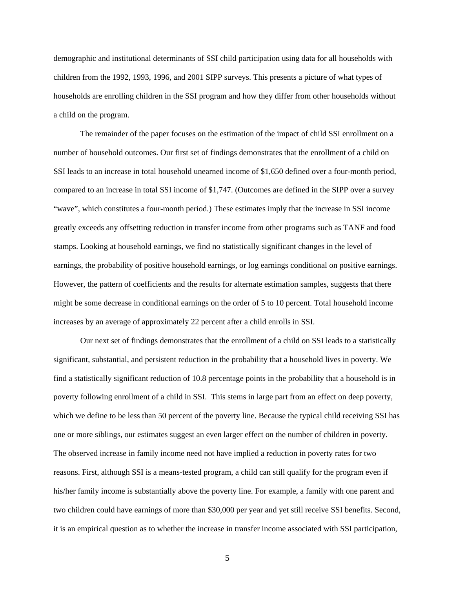demographic and institutional determinants of SSI child participation using data for all households with children from the 1992, 1993, 1996, and 2001 SIPP surveys. This presents a picture of what types of households are enrolling children in the SSI program and how they differ from other households without a child on the program.

 The remainder of the paper focuses on the estimation of the impact of child SSI enrollment on a number of household outcomes. Our first set of findings demonstrates that the enrollment of a child on SSI leads to an increase in total household unearned income of \$1,650 defined over a four-month period, compared to an increase in total SSI income of \$1,747. (Outcomes are defined in the SIPP over a survey "wave", which constitutes a four-month period.) These estimates imply that the increase in SSI income greatly exceeds any offsetting reduction in transfer income from other programs such as TANF and food stamps. Looking at household earnings, we find no statistically significant changes in the level of earnings, the probability of positive household earnings, or log earnings conditional on positive earnings. However, the pattern of coefficients and the results for alternate estimation samples, suggests that there might be some decrease in conditional earnings on the order of 5 to 10 percent. Total household income increases by an average of approximately 22 percent after a child enrolls in SSI.

Our next set of findings demonstrates that the enrollment of a child on SSI leads to a statistically significant, substantial, and persistent reduction in the probability that a household lives in poverty. We find a statistically significant reduction of 10.8 percentage points in the probability that a household is in poverty following enrollment of a child in SSI. This stems in large part from an effect on deep poverty, which we define to be less than 50 percent of the poverty line. Because the typical child receiving SSI has one or more siblings, our estimates suggest an even larger effect on the number of children in poverty. The observed increase in family income need not have implied a reduction in poverty rates for two reasons. First, although SSI is a means-tested program, a child can still qualify for the program even if his/her family income is substantially above the poverty line. For example, a family with one parent and two children could have earnings of more than \$30,000 per year and yet still receive SSI benefits. Second, it is an empirical question as to whether the increase in transfer income associated with SSI participation,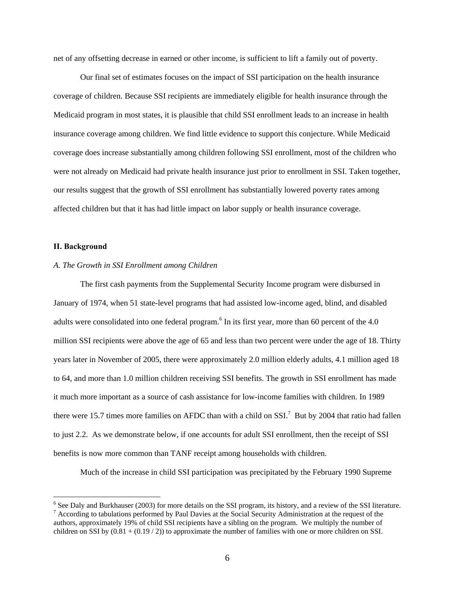net of any offsetting decrease in earned or other income, is sufficient to lift a family out of poverty.

Our final set of estimates focuses on the impact of SSI participation on the health insurance coverage of children. Because SSI recipients are immediately eligible for health insurance through the Medicaid program in most states, it is plausible that child SSI enrollment leads to an increase in health insurance coverage among children. We find little evidence to support this conjecture. While Medicaid coverage does increase substantially among children following SSI enrollment, most of the children who were not already on Medicaid had private health insurance just prior to enrollment in SSI. Taken together, our results suggest that the growth of SSI enrollment has substantially lowered poverty rates among affected children but that it has had little impact on labor supply or health insurance coverage.

#### **II. Background**

## *A. The Growth in SSI Enrollment among Children*

The first cash payments from the Supplemental Security Income program were disbursed in January of 1974, when 51 state-level programs that had assisted low-income aged, blind, and disabled adults were consolidated into one federal program.<sup>6</sup> In its first year, more than 60 percent of the 4.0 million SSI recipients were above the age of 65 and less than two percent were under the age of 18. Thirty years later in November of 2005, there were approximately 2.0 million elderly adults, 4.1 million aged 18 to 64, and more than 1.0 million children receiving SSI benefits. The growth in SSI enrollment has made it much more important as a source of cash assistance for low-income families with children. In 1989 there were 15.7 times more families on AFDC than with a child on SSI.<sup>7</sup> But by 2004 that ratio had fallen to just 2.2. As we demonstrate below, if one accounts for adult SSI enrollment, then the receipt of SSI benefits is now more common than TANF receipt among households with children.

Much of the increase in child SSI participation was precipitated by the February 1990 Supreme

<sup>&</sup>lt;sup>6</sup> See Daly and Burkhauser (2003) for more details on the SSI program, its history, and a review of the SSI literature.<br><sup>7</sup> According to tabulations performed by Paul Device at the Social Sequetty Administration at the re <sup>7</sup> According to tabulations performed by Paul Davies at the Social Security Administration at the request of the authors, approximately 19% of child SSI recipients have a sibling on the program. We multiply the number of children on SSI by  $(0.81 + (0.19 / 2))$  to approximate the number of families with one or more children on SSI.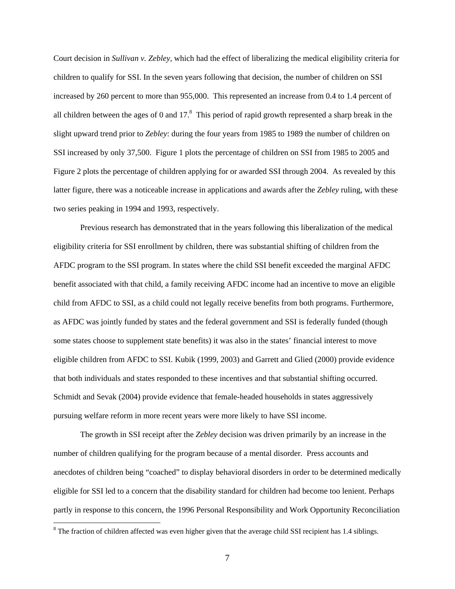Court decision in *Sullivan v. Zebley*, which had the effect of liberalizing the medical eligibility criteria for children to qualify for SSI. In the seven years following that decision, the number of children on SSI increased by 260 percent to more than 955,000. This represented an increase from 0.4 to 1.4 percent of all children between the ages of 0 and  $17<sup>8</sup>$  This period of rapid growth represented a sharp break in the slight upward trend prior to *Zebley*: during the four years from 1985 to 1989 the number of children on SSI increased by only 37,500. Figure 1 plots the percentage of children on SSI from 1985 to 2005 and Figure 2 plots the percentage of children applying for or awarded SSI through 2004. As revealed by this latter figure, there was a noticeable increase in applications and awards after the *Zebley* ruling, with these two series peaking in 1994 and 1993, respectively.

Previous research has demonstrated that in the years following this liberalization of the medical eligibility criteria for SSI enrollment by children, there was substantial shifting of children from the AFDC program to the SSI program. In states where the child SSI benefit exceeded the marginal AFDC benefit associated with that child, a family receiving AFDC income had an incentive to move an eligible child from AFDC to SSI, as a child could not legally receive benefits from both programs. Furthermore, as AFDC was jointly funded by states and the federal government and SSI is federally funded (though some states choose to supplement state benefits) it was also in the states' financial interest to move eligible children from AFDC to SSI. Kubik (1999, 2003) and Garrett and Glied (2000) provide evidence that both individuals and states responded to these incentives and that substantial shifting occurred. Schmidt and Sevak (2004) provide evidence that female-headed households in states aggressively pursuing welfare reform in more recent years were more likely to have SSI income.

The growth in SSI receipt after the *Zebley* decision was driven primarily by an increase in the number of children qualifying for the program because of a mental disorder. Press accounts and anecdotes of children being "coached" to display behavioral disorders in order to be determined medically eligible for SSI led to a concern that the disability standard for children had become too lenient. Perhaps partly in response to this concern, the 1996 Personal Responsibility and Work Opportunity Reconciliation

 $8$  The fraction of children affected was even higher given that the average child SSI recipient has 1.4 siblings.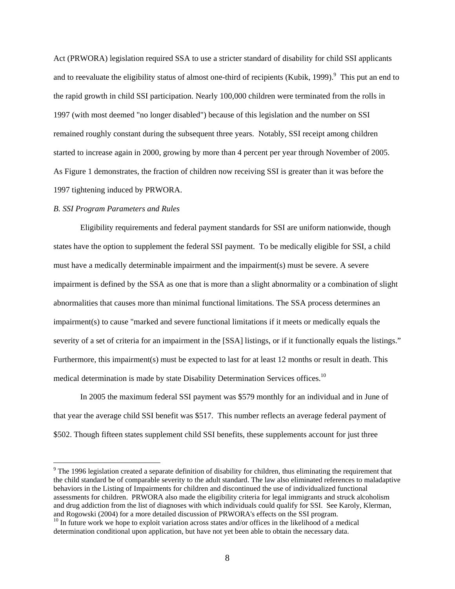Act (PRWORA) legislation required SSA to use a stricter standard of disability for child SSI applicants and to reevaluate the eligibility status of almost one-third of recipients (Kubik, 1999). <sup>9</sup> This put an end to the rapid growth in child SSI participation. Nearly 100,000 children were terminated from the rolls in 1997 (with most deemed "no longer disabled") because of this legislation and the number on SSI remained roughly constant during the subsequent three years. Notably, SSI receipt among children started to increase again in 2000, growing by more than 4 percent per year through November of 2005. As Figure 1 demonstrates, the fraction of children now receiving SSI is greater than it was before the 1997 tightening induced by PRWORA.

## *B. SSI Program Parameters and Rules*

 $\overline{a}$ 

Eligibility requirements and federal payment standards for SSI are uniform nationwide, though states have the option to supplement the federal SSI payment. To be medically eligible for SSI, a child must have a medically determinable impairment and the impairment(s) must be severe. A severe impairment is defined by the SSA as one that is more than a slight abnormality or a combination of slight abnormalities that causes more than minimal functional limitations. The SSA process determines an impairment(s) to cause "marked and severe functional limitations if it meets or medically equals the severity of a set of criteria for an impairment in the [SSA] listings, or if it functionally equals the listings." Furthermore, this impairment(s) must be expected to last for at least 12 months or result in death. This medical determination is made by state Disability Determination Services offices.<sup>10</sup>

In 2005 the maximum federal SSI payment was \$579 monthly for an individual and in June of that year the average child SSI benefit was \$517. This number reflects an average federal payment of \$502. Though fifteen states supplement child SSI benefits, these supplements account for just three

 $9^9$  The 1996 legislation created a separate definition of disability for children, thus eliminating the requirement that the child standard be of comparable severity to the adult standard. The law also eliminated references to maladaptive behaviors in the Listing of Impairments for children and discontinued the use of individualized functional assessments for children. PRWORA also made the eligibility criteria for legal immigrants and struck alcoholism and drug addiction from the list of diagnoses with which individuals could qualify for SSI. See Karoly, Klerman, and Rogowski (2004) for a more detailed discussion of PRWORA's effects on the SSI program.

 $10$  In future work we hope to exploit variation across states and/or offices in the likelihood of a medical determination conditional upon application, but have not yet been able to obtain the necessary data.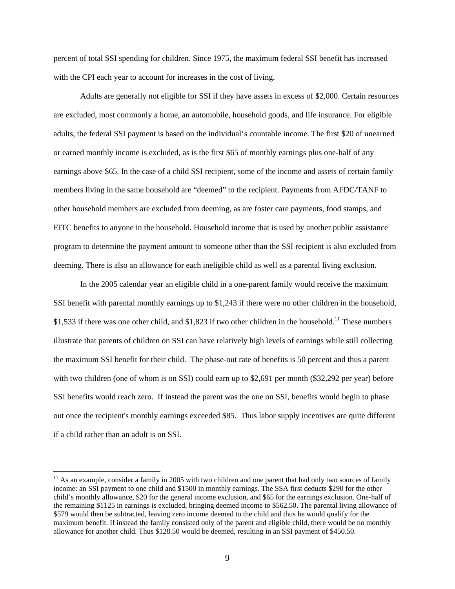percent of total SSI spending for children. Since 1975, the maximum federal SSI benefit has increased with the CPI each year to account for increases in the cost of living.

Adults are generally not eligible for SSI if they have assets in excess of \$2,000. Certain resources are excluded, most commonly a home, an automobile, household goods, and life insurance. For eligible adults, the federal SSI payment is based on the individual's countable income. The first \$20 of unearned or earned monthly income is excluded, as is the first \$65 of monthly earnings plus one-half of any earnings above \$65. In the case of a child SSI recipient, some of the income and assets of certain family members living in the same household are "deemed" to the recipient. Payments from AFDC/TANF to other household members are excluded from deeming, as are foster care payments, food stamps, and EITC benefits to anyone in the household. Household income that is used by another public assistance program to determine the payment amount to someone other than the SSI recipient is also excluded from deeming. There is also an allowance for each ineligible child as well as a parental living exclusion.

In the 2005 calendar year an eligible child in a one-parent family would receive the maximum SSI benefit with parental monthly earnings up to \$1,243 if there were no other children in the household, \$1,533 if there was one other child, and \$1,823 if two other children in the household.<sup>11</sup> These numbers illustrate that parents of children on SSI can have relatively high levels of earnings while still collecting the maximum SSI benefit for their child. The phase-out rate of benefits is 50 percent and thus a parent with two children (one of whom is on SSI) could earn up to \$2,691 per month (\$32,292 per year) before SSI benefits would reach zero. If instead the parent was the one on SSI, benefits would begin to phase out once the recipient's monthly earnings exceeded \$85. Thus labor supply incentives are quite different if a child rather than an adult is on SSI.

 $11$  As an example, consider a family in 2005 with two children and one parent that had only two sources of family income: an SSI payment to one child and \$1500 in monthly earnings. The SSA first deducts \$290 for the other child's monthly allowance, \$20 for the general income exclusion, and \$65 for the earnings exclusion. One-half of the remaining \$1125 in earnings is excluded, bringing deemed income to \$562.50. The parental living allowance of \$579 would then be subtracted, leaving zero income deemed to the child and thus he would qualify for the maximum benefit. If instead the family consisted only of the parent and eligible child, there would be no monthly allowance for another child. Thus \$128.50 would be deemed, resulting in an SSI payment of \$450.50.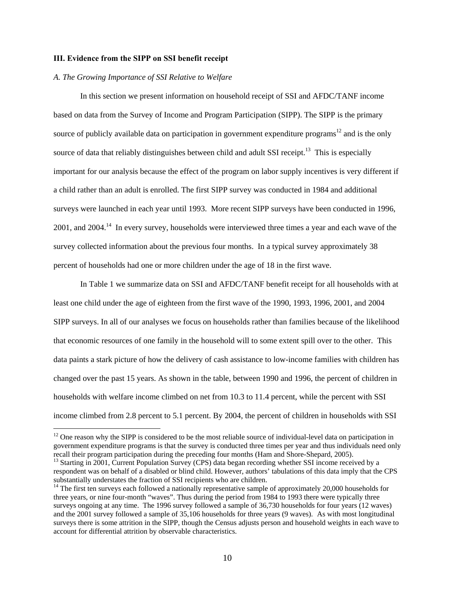#### **III. Evidence from the SIPP on SSI benefit receipt**

#### *A. The Growing Importance of SSI Relative to Welfare*

 $\overline{a}$ 

In this section we present information on household receipt of SSI and AFDC/TANF income based on data from the Survey of Income and Program Participation (SIPP). The SIPP is the primary source of publicly available data on participation in government expenditure programs<sup>12</sup> and is the only source of data that reliably distinguishes between child and adult SSI receipt.<sup>13</sup> This is especially important for our analysis because the effect of the program on labor supply incentives is very different if a child rather than an adult is enrolled. The first SIPP survey was conducted in 1984 and additional surveys were launched in each year until 1993. More recent SIPP surveys have been conducted in 1996, 2001, and 2004.14 In every survey, households were interviewed three times a year and each wave of the survey collected information about the previous four months. In a typical survey approximately 38 percent of households had one or more children under the age of 18 in the first wave.

In Table 1 we summarize data on SSI and AFDC/TANF benefit receipt for all households with at least one child under the age of eighteen from the first wave of the 1990, 1993, 1996, 2001, and 2004 SIPP surveys. In all of our analyses we focus on households rather than families because of the likelihood that economic resources of one family in the household will to some extent spill over to the other. This data paints a stark picture of how the delivery of cash assistance to low-income families with children has changed over the past 15 years. As shown in the table, between 1990 and 1996, the percent of children in households with welfare income climbed on net from 10.3 to 11.4 percent, while the percent with SSI income climbed from 2.8 percent to 5.1 percent. By 2004, the percent of children in households with SSI

<sup>&</sup>lt;sup>12</sup> One reason why the SIPP is considered to be the most reliable source of individual-level data on participation in government expenditure programs is that the survey is conducted three times per year and thus individuals need only recall their program participation during the preceding four months (Ham and Shore-Shepard, 2005).

 $13$  Starting in 2001, Current Population Survey (CPS) data began recording whether SSI income received by a respondent was on behalf of a disabled or blind child. However, authors' tabulations of this data imply that the CPS substantially understates the fraction of SSI recipients who are children.<br><sup>14</sup> The first ten surveys each followed a nationally representative sample of approximately 20,000 households for

three years, or nine four-month "waves". Thus during the period from 1984 to 1993 there were typically three surveys ongoing at any time. The 1996 survey followed a sample of 36,730 households for four years (12 waves) and the 2001 survey followed a sample of 35,106 households for three years (9 waves). As with most longitudinal surveys there is some attrition in the SIPP, though the Census adjusts person and household weights in each wave to account for differential attrition by observable characteristics.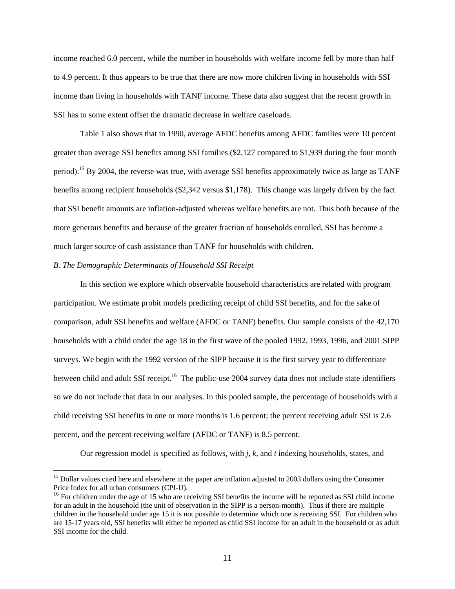income reached 6.0 percent, while the number in households with welfare income fell by more than half to 4.9 percent. It thus appears to be true that there are now more children living in households with SSI income than living in households with TANF income. These data also suggest that the recent growth in SSI has to some extent offset the dramatic decrease in welfare caseloads.

Table 1 also shows that in 1990, average AFDC benefits among AFDC families were 10 percent greater than average SSI benefits among SSI families (\$2,127 compared to \$1,939 during the four month period).15 By 2004, the reverse was true, with average SSI benefits approximately twice as large as TANF benefits among recipient households (\$2,342 versus \$1,178). This change was largely driven by the fact that SSI benefit amounts are inflation-adjusted whereas welfare benefits are not. Thus both because of the more generous benefits and because of the greater fraction of households enrolled, SSI has become a much larger source of cash assistance than TANF for households with children.

## *B. The Demographic Determinants of Household SSI Receipt*

 $\overline{a}$ 

 In this section we explore which observable household characteristics are related with program participation. We estimate probit models predicting receipt of child SSI benefits, and for the sake of comparison, adult SSI benefits and welfare (AFDC or TANF) benefits. Our sample consists of the 42,170 households with a child under the age 18 in the first wave of the pooled 1992, 1993, 1996, and 2001 SIPP surveys. We begin with the 1992 version of the SIPP because it is the first survey year to differentiate between child and adult SSI receipt.<sup>16</sup> The public-use 2004 survey data does not include state identifiers so we do not include that data in our analyses. In this pooled sample, the percentage of households with a child receiving SSI benefits in one or more months is 1.6 percent; the percent receiving adult SSI is 2.6 percent, and the percent receiving welfare (AFDC or TANF) is 8.5 percent.

Our regression model is specified as follows, with *j, k,* and *t* indexing households, states, and

<sup>&</sup>lt;sup>15</sup> Dollar values cited here and elsewhere in the paper are inflation adjusted to 2003 dollars using the Consumer Price Index for all urban consumers (CPI-U).

 $16$  For children under the age of 15 who are receiving SSI benefits the income will be reported as SSI child income for an adult in the household (the unit of observation in the SIPP is a person-month). Thus if there are multiple children in the household under age 15 it is not possible to determine which one is receiving SSI. For children who are 15-17 years old, SSI benefits will either be reported as child SSI income for an adult in the household or as adult SSI income for the child.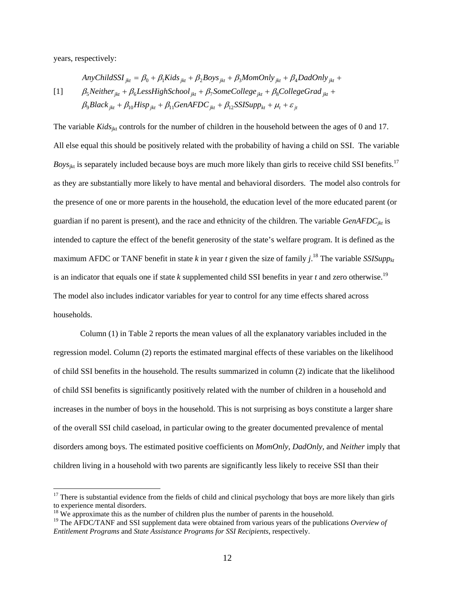years, respectively:

 $\overline{a}$ 

[1]  $\beta_9 Black_{jkt} + \beta_{10} High_{jkt} + \beta_{11} GenAFDC_{jkt} + \beta_{12} SSISupp_{kt} + \mu_t + \varepsilon_{jt}$  $\beta_5$ Neither<sub>jkt</sub> +  $\beta_6$ LessHighSchool<sub>jkt</sub> +  $\beta_7$ SomeCollege<sub>jkt</sub> +  $\beta_8$ CollegeGrad<sub>jkt</sub> +  $Any ChildSSI_{jkt} = \beta_0 + \beta_1Kids_{jkt} + \beta_2Boys_{jkt} + \beta_3MomOnly_{jkt} + \beta_4 DadOnly_{jkt} + \beta_5 RedOnly_{jkt} + \beta_6 RedOnly_{jkt} + \beta_7 B.$ 

The variable *Kids*<sub>ikt</sub> controls for the number of children in the household between the ages of 0 and 17. All else equal this should be positively related with the probability of having a child on SSI. The variable *Boys*<sub>jkt</sub> is separately included because boys are much more likely than girls to receive child SSI benefits.<sup>17</sup> as they are substantially more likely to have mental and behavioral disorders. The model also controls for the presence of one or more parents in the household, the education level of the more educated parent (or guardian if no parent is present), and the race and ethnicity of the children. The variable *GenAFDCjkt* is intended to capture the effect of the benefit generosity of the state's welfare program. It is defined as the maximum AFDC or TANF benefit in state  $k$  in year  $t$  given the size of family  $j$ .<sup>18</sup> The variable *SSISupp* $_{kt}$ is an indicator that equals one if state *k* supplemented child SSI benefits in year *t* and zero otherwise.<sup>19</sup> The model also includes indicator variables for year to control for any time effects shared across households.

 Column (1) in Table 2 reports the mean values of all the explanatory variables included in the regression model. Column (2) reports the estimated marginal effects of these variables on the likelihood of child SSI benefits in the household. The results summarized in column (2) indicate that the likelihood of child SSI benefits is significantly positively related with the number of children in a household and increases in the number of boys in the household. This is not surprising as boys constitute a larger share of the overall SSI child caseload, in particular owing to the greater documented prevalence of mental disorders among boys. The estimated positive coefficients on *MomOnly, DadOnly*, and *Neither* imply that children living in a household with two parents are significantly less likely to receive SSI than their

 $17$  There is substantial evidence from the fields of child and clinical psychology that boys are more likely than girls to experience mental disorders.

 $18$  We approximate this as the number of children plus the number of parents in the household.

<sup>&</sup>lt;sup>19</sup> The AFDC/TANF and SSI supplement data were obtained from various years of the publications *Overview of Entitlement Programs* and *State Assistance Programs for SSI Recipients*, respectively.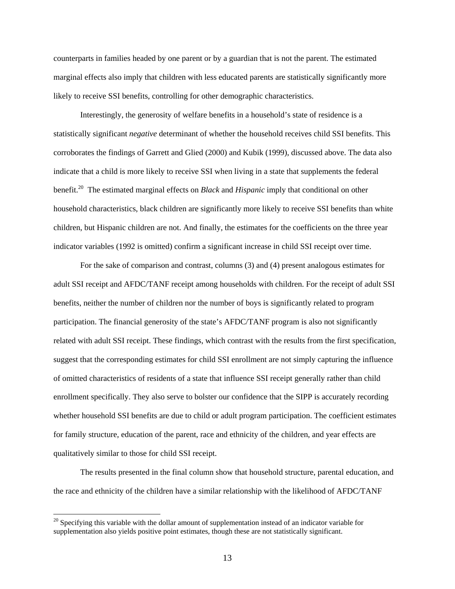counterparts in families headed by one parent or by a guardian that is not the parent. The estimated marginal effects also imply that children with less educated parents are statistically significantly more likely to receive SSI benefits, controlling for other demographic characteristics.

 Interestingly, the generosity of welfare benefits in a household's state of residence is a statistically significant *negative* determinant of whether the household receives child SSI benefits. This corroborates the findings of Garrett and Glied (2000) and Kubik (1999), discussed above. The data also indicate that a child is more likely to receive SSI when living in a state that supplements the federal benefit.20 The estimated marginal effects on *Black* and *Hispanic* imply that conditional on other household characteristics, black children are significantly more likely to receive SSI benefits than white children, but Hispanic children are not. And finally, the estimates for the coefficients on the three year indicator variables (1992 is omitted) confirm a significant increase in child SSI receipt over time.

For the sake of comparison and contrast, columns (3) and (4) present analogous estimates for adult SSI receipt and AFDC/TANF receipt among households with children. For the receipt of adult SSI benefits, neither the number of children nor the number of boys is significantly related to program participation. The financial generosity of the state's AFDC/TANF program is also not significantly related with adult SSI receipt. These findings, which contrast with the results from the first specification, suggest that the corresponding estimates for child SSI enrollment are not simply capturing the influence of omitted characteristics of residents of a state that influence SSI receipt generally rather than child enrollment specifically. They also serve to bolster our confidence that the SIPP is accurately recording whether household SSI benefits are due to child or adult program participation. The coefficient estimates for family structure, education of the parent, race and ethnicity of the children, and year effects are qualitatively similar to those for child SSI receipt.

The results presented in the final column show that household structure, parental education, and the race and ethnicity of the children have a similar relationship with the likelihood of AFDC/TANF

 $20$  Specifying this variable with the dollar amount of supplementation instead of an indicator variable for supplementation also yields positive point estimates, though these are not statistically significant.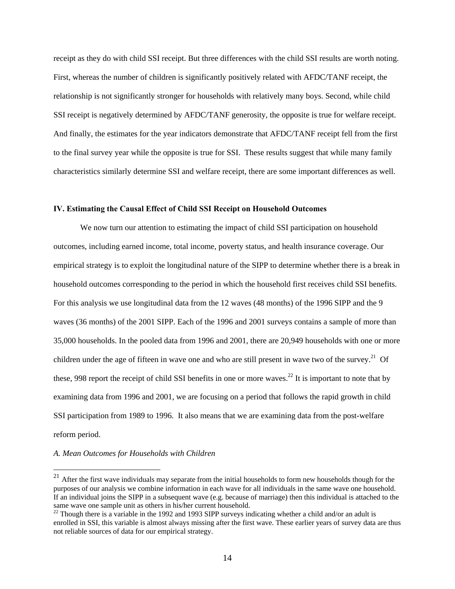receipt as they do with child SSI receipt. But three differences with the child SSI results are worth noting. First, whereas the number of children is significantly positively related with AFDC/TANF receipt, the relationship is not significantly stronger for households with relatively many boys. Second, while child SSI receipt is negatively determined by AFDC/TANF generosity, the opposite is true for welfare receipt. And finally, the estimates for the year indicators demonstrate that AFDC/TANF receipt fell from the first to the final survey year while the opposite is true for SSI. These results suggest that while many family characteristics similarly determine SSI and welfare receipt, there are some important differences as well.

## **IV. Estimating the Causal Effect of Child SSI Receipt on Household Outcomes**

We now turn our attention to estimating the impact of child SSI participation on household outcomes, including earned income, total income, poverty status, and health insurance coverage. Our empirical strategy is to exploit the longitudinal nature of the SIPP to determine whether there is a break in household outcomes corresponding to the period in which the household first receives child SSI benefits. For this analysis we use longitudinal data from the 12 waves (48 months) of the 1996 SIPP and the 9 waves (36 months) of the 2001 SIPP. Each of the 1996 and 2001 surveys contains a sample of more than 35,000 households. In the pooled data from 1996 and 2001, there are 20,949 households with one or more children under the age of fifteen in wave one and who are still present in wave two of the survey.<sup>21</sup> Of these, 998 report the receipt of child SSI benefits in one or more waves.<sup>22</sup> It is important to note that by examining data from 1996 and 2001, we are focusing on a period that follows the rapid growth in child SSI participation from 1989 to 1996. It also means that we are examining data from the post-welfare reform period.

#### *A. Mean Outcomes for Households with Children*

 $^{21}$  After the first wave individuals may separate from the initial households to form new households though for the purposes of our analysis we combine information in each wave for all individuals in the same wave one household. If an individual joins the SIPP in a subsequent wave (e.g. because of marriage) then this individual is attached to the same wave one sample unit as others in his/her current household.

 $^{22}$  Though there is a variable in the 1992 and 1993 SIPP surveys indicating whether a child and/or an adult is enrolled in SSI, this variable is almost always missing after the first wave. These earlier years of survey data are thus not reliable sources of data for our empirical strategy.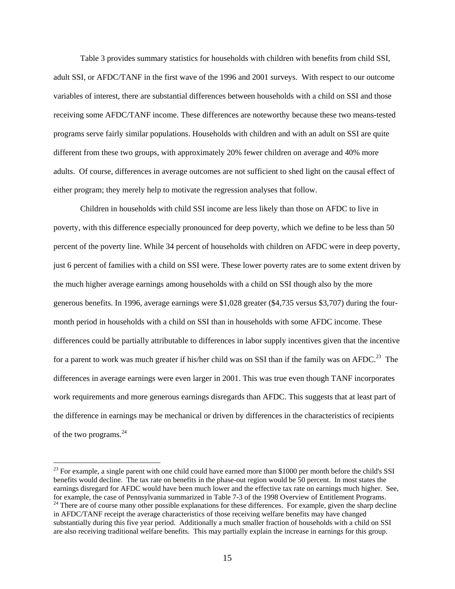Table 3 provides summary statistics for households with children with benefits from child SSI, adult SSI, or AFDC/TANF in the first wave of the 1996 and 2001 surveys. With respect to our outcome variables of interest, there are substantial differences between households with a child on SSI and those receiving some AFDC/TANF income. These differences are noteworthy because these two means-tested programs serve fairly similar populations. Households with children and with an adult on SSI are quite different from these two groups, with approximately 20% fewer children on average and 40% more adults. Of course, differences in average outcomes are not sufficient to shed light on the causal effect of either program; they merely help to motivate the regression analyses that follow.

Children in households with child SSI income are less likely than those on AFDC to live in poverty, with this difference especially pronounced for deep poverty, which we define to be less than 50 percent of the poverty line. While 34 percent of households with children on AFDC were in deep poverty, just 6 percent of families with a child on SSI were. These lower poverty rates are to some extent driven by the much higher average earnings among households with a child on SSI though also by the more generous benefits. In 1996, average earnings were \$1,028 greater (\$4,735 versus \$3,707) during the fourmonth period in households with a child on SSI than in households with some AFDC income. These differences could be partially attributable to differences in labor supply incentives given that the incentive for a parent to work was much greater if his/her child was on SSI than if the family was on AFDC.<sup>23</sup> The differences in average earnings were even larger in 2001. This was true even though TANF incorporates work requirements and more generous earnings disregards than AFDC. This suggests that at least part of the difference in earnings may be mechanical or driven by differences in the characteristics of recipients of the two programs. $^{24}$ 

<sup>&</sup>lt;sup>23</sup> For example, a single parent with one child could have earned more than \$1000 per month before the child's SSI benefits would decline. The tax rate on benefits in the phase-out region would be 50 percent. In most states the earnings disregard for AFDC would have been much lower and the effective tax rate on earnings much higher. See, for example, the case of Pennsylvania summarized in Table 7-3 of the 1998 Overview of Entitlement Programs.  $24$  There are of course many other possible explanations for these differences. For example, given the sharp decline in AFDC/TANF receipt the average characteristics of those receiving welfare benefits may have changed substantially during this five year period. Additionally a much smaller fraction of households with a child on SSI are also receiving traditional welfare benefits. This may partially explain the increase in earnings for this group.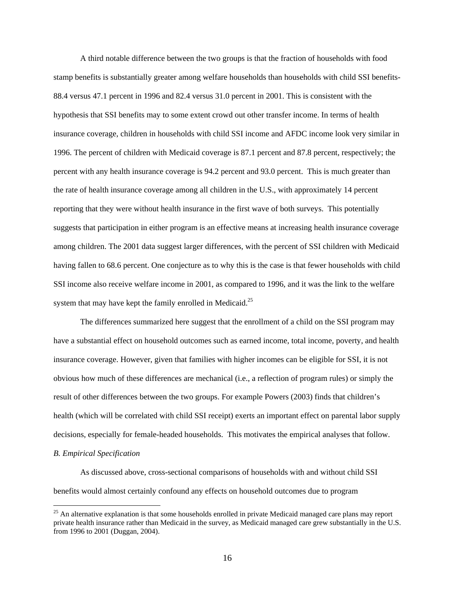A third notable difference between the two groups is that the fraction of households with food stamp benefits is substantially greater among welfare households than households with child SSI benefits-88.4 versus 47.1 percent in 1996 and 82.4 versus 31.0 percent in 2001. This is consistent with the hypothesis that SSI benefits may to some extent crowd out other transfer income. In terms of health insurance coverage, children in households with child SSI income and AFDC income look very similar in 1996. The percent of children with Medicaid coverage is 87.1 percent and 87.8 percent, respectively; the percent with any health insurance coverage is 94.2 percent and 93.0 percent. This is much greater than the rate of health insurance coverage among all children in the U.S., with approximately 14 percent reporting that they were without health insurance in the first wave of both surveys. This potentially suggests that participation in either program is an effective means at increasing health insurance coverage among children. The 2001 data suggest larger differences, with the percent of SSI children with Medicaid having fallen to 68.6 percent. One conjecture as to why this is the case is that fewer households with child SSI income also receive welfare income in 2001, as compared to 1996, and it was the link to the welfare system that may have kept the family enrolled in Medicaid.<sup>25</sup>

The differences summarized here suggest that the enrollment of a child on the SSI program may have a substantial effect on household outcomes such as earned income, total income, poverty, and health insurance coverage. However, given that families with higher incomes can be eligible for SSI, it is not obvious how much of these differences are mechanical (i.e., a reflection of program rules) or simply the result of other differences between the two groups. For example Powers (2003) finds that children's health (which will be correlated with child SSI receipt) exerts an important effect on parental labor supply decisions, especially for female-headed households. This motivates the empirical analyses that follow.

## *B. Empirical Specification*

 $\overline{a}$ 

As discussed above, cross-sectional comparisons of households with and without child SSI benefits would almost certainly confound any effects on household outcomes due to program

<sup>&</sup>lt;sup>25</sup> An alternative explanation is that some households enrolled in private Medicaid managed care plans may report private health insurance rather than Medicaid in the survey, as Medicaid managed care grew substantially in the U.S. from 1996 to 2001 (Duggan, 2004).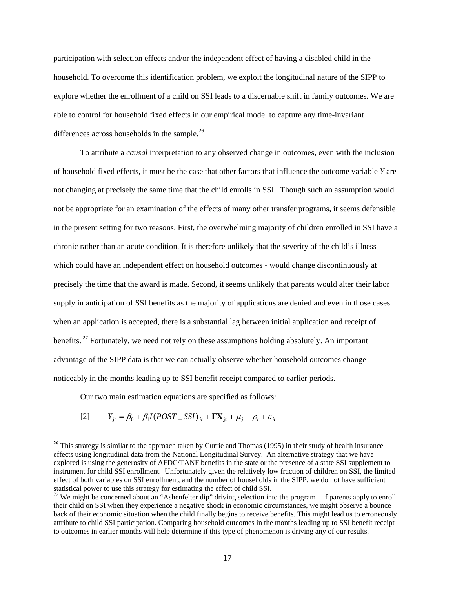participation with selection effects and/or the independent effect of having a disabled child in the household. To overcome this identification problem, we exploit the longitudinal nature of the SIPP to explore whether the enrollment of a child on SSI leads to a discernable shift in family outcomes. We are able to control for household fixed effects in our empirical model to capture any time-invariant differences across households in the sample. $^{26}$ 

To attribute a *causal* interpretation to any observed change in outcomes, even with the inclusion of household fixed effects, it must be the case that other factors that influence the outcome variable *Y* are not changing at precisely the same time that the child enrolls in SSI. Though such an assumption would not be appropriate for an examination of the effects of many other transfer programs, it seems defensible in the present setting for two reasons. First, the overwhelming majority of children enrolled in SSI have a chronic rather than an acute condition. It is therefore unlikely that the severity of the child's illness – which could have an independent effect on household outcomes - would change discontinuously at precisely the time that the award is made. Second, it seems unlikely that parents would alter their labor supply in anticipation of SSI benefits as the majority of applications are denied and even in those cases when an application is accepted, there is a substantial lag between initial application and receipt of benefits.<sup>27</sup> Fortunately, we need not rely on these assumptions holding absolutely. An important advantage of the SIPP data is that we can actually observe whether household outcomes change noticeably in the months leading up to SSI benefit receipt compared to earlier periods.

Our two main estimation equations are specified as follows:

$$
[2] \qquad Y_{jt} = \beta_0 + \beta_1 I (POST\_SSI)_{jt} + \Gamma X_{jt} + \mu_j + \rho_t + \varepsilon_{jt}
$$

<sup>&</sup>lt;sup>26</sup> This strategy is similar to the approach taken by Currie and Thomas (1995) in their study of health insurance effects using longitudinal data from the National Longitudinal Survey.An alternative strategy that we have explored is using the generosity of AFDC/TANF benefits in the state or the presence of a state SSI supplement to instrument for child SSI enrollment. Unfortunately given the relatively low fraction of children on SSI, the limited effect of both variables on SSI enrollment, and the number of households in the SIPP, we do not have sufficient statistical power to use this strategy for estimating the effect of child SSI.<br><sup>27</sup> We might be concerned about an "Ashenfelter dip" driving selection into the program – if parents apply to enroll

their child on SSI when they experience a negative shock in economic circumstances, we might observe a bounce back of their economic situation when the child finally begins to receive benefits. This might lead us to erroneously attribute to child SSI participation. Comparing household outcomes in the months leading up to SSI benefit receipt to outcomes in earlier months will help determine if this type of phenomenon is driving any of our results.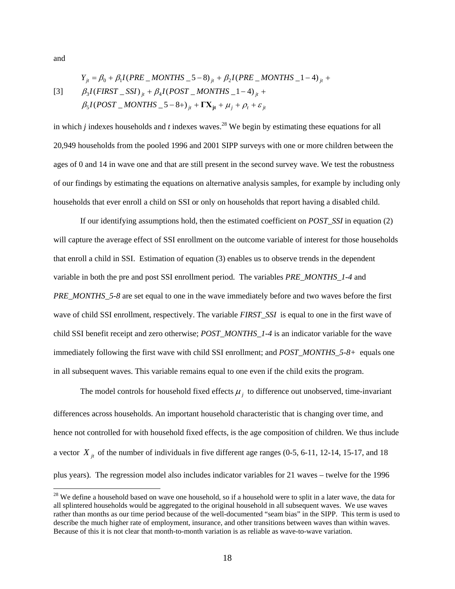and

 $\overline{a}$ 

$$
Y_{jt} = \beta_0 + \beta_1 I (PRE\_MONTHS_5 - 8)_{jt} + \beta_2 I (PRE\_MONTHS_1 - 4)_{jt} +
$$
  
[3]  $\beta_3 I (FIRST\_SSI)_{jt} + \beta_4 I (POST\_MONTHS_1 - 4)_{jt} +$   
 $\beta_5 I (POST\_MONTHS_5 - 8+)_{jt} + \Gamma X_{jt} + \mu_j + \rho_t + \varepsilon_{jt}$ 

in which *j* indexes households and *t* indexes waves.<sup>28</sup> We begin by estimating these equations for all 20,949 households from the pooled 1996 and 2001 SIPP surveys with one or more children between the ages of 0 and 14 in wave one and that are still present in the second survey wave. We test the robustness of our findings by estimating the equations on alternative analysis samples, for example by including only households that ever enroll a child on SSI or only on households that report having a disabled child.

If our identifying assumptions hold, then the estimated coefficient on *POST\_SSI* in equation (2) will capture the average effect of SSI enrollment on the outcome variable of interest for those households that enroll a child in SSI. Estimation of equation (3) enables us to observe trends in the dependent variable in both the pre and post SSI enrollment period. The variables *PRE\_MONTHS\_1-4* and *PRE\_MONTHS\_5-8* are set equal to one in the wave immediately before and two waves before the first wave of child SSI enrollment, respectively. The variable *FIRST\_SSI* is equal to one in the first wave of child SSI benefit receipt and zero otherwise; *POST\_MONTHS\_1-4* is an indicator variable for the wave immediately following the first wave with child SSI enrollment; and *POST\_MONTHS\_5-8+* equals one in all subsequent waves. This variable remains equal to one even if the child exits the program.

The model controls for household fixed effects  $\mu_i$  to difference out unobserved, time-invariant differences across households. An important household characteristic that is changing over time, and hence not controlled for with household fixed effects, is the age composition of children. We thus include a vector  $X_{it}$  of the number of individuals in five different age ranges (0-5, 6-11, 12-14, 15-17, and 18 plus years). The regression model also includes indicator variables for 21 waves – twelve for the 1996

<sup>&</sup>lt;sup>28</sup> We define a household based on wave one household, so if a household were to split in a later wave, the data for all splintered households would be aggregated to the original household in all subsequent waves. We use waves rather than months as our time period because of the well-documented "seam bias" in the SIPP. This term is used to describe the much higher rate of employment, insurance, and other transitions between waves than within waves. Because of this it is not clear that month-to-month variation is as reliable as wave-to-wave variation.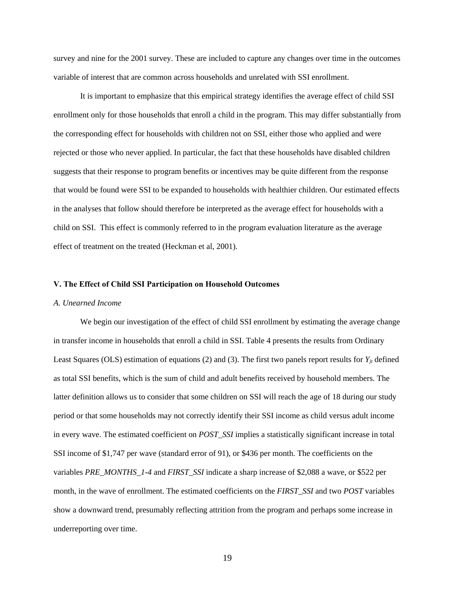survey and nine for the 2001 survey. These are included to capture any changes over time in the outcomes variable of interest that are common across households and unrelated with SSI enrollment.

It is important to emphasize that this empirical strategy identifies the average effect of child SSI enrollment only for those households that enroll a child in the program. This may differ substantially from the corresponding effect for households with children not on SSI, either those who applied and were rejected or those who never applied. In particular, the fact that these households have disabled children suggests that their response to program benefits or incentives may be quite different from the response that would be found were SSI to be expanded to households with healthier children. Our estimated effects in the analyses that follow should therefore be interpreted as the average effect for households with a child on SSI. This effect is commonly referred to in the program evaluation literature as the average effect of treatment on the treated (Heckman et al, 2001).

#### **V. The Effect of Child SSI Participation on Household Outcomes**

## *A. Unearned Income*

We begin our investigation of the effect of child SSI enrollment by estimating the average change in transfer income in households that enroll a child in SSI. Table 4 presents the results from Ordinary Least Squares (OLS) estimation of equations (2) and (3). The first two panels report results for  $Y_{jt}$  defined as total SSI benefits, which is the sum of child and adult benefits received by household members. The latter definition allows us to consider that some children on SSI will reach the age of 18 during our study period or that some households may not correctly identify their SSI income as child versus adult income in every wave. The estimated coefficient on *POST\_SSI* implies a statistically significant increase in total SSI income of \$1,747 per wave (standard error of 91), or \$436 per month. The coefficients on the variables *PRE\_MONTHS\_1-4* and *FIRST\_SSI* indicate a sharp increase of \$2,088 a wave, or \$522 per month, in the wave of enrollment. The estimated coefficients on the *FIRST\_SSI* and two *POST* variables show a downward trend, presumably reflecting attrition from the program and perhaps some increase in underreporting over time.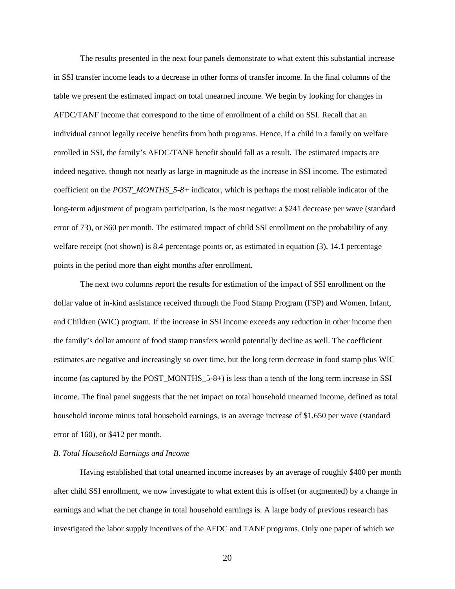The results presented in the next four panels demonstrate to what extent this substantial increase in SSI transfer income leads to a decrease in other forms of transfer income. In the final columns of the table we present the estimated impact on total unearned income. We begin by looking for changes in AFDC/TANF income that correspond to the time of enrollment of a child on SSI. Recall that an individual cannot legally receive benefits from both programs. Hence, if a child in a family on welfare enrolled in SSI, the family's AFDC/TANF benefit should fall as a result. The estimated impacts are indeed negative, though not nearly as large in magnitude as the increase in SSI income. The estimated coefficient on the *POST\_MONTHS\_5-8+* indicator, which is perhaps the most reliable indicator of the long-term adjustment of program participation, is the most negative: a \$241 decrease per wave (standard error of 73), or \$60 per month. The estimated impact of child SSI enrollment on the probability of any welfare receipt (not shown) is 8.4 percentage points or, as estimated in equation (3), 14.1 percentage points in the period more than eight months after enrollment.

The next two columns report the results for estimation of the impact of SSI enrollment on the dollar value of in-kind assistance received through the Food Stamp Program (FSP) and Women, Infant, and Children (WIC) program. If the increase in SSI income exceeds any reduction in other income then the family's dollar amount of food stamp transfers would potentially decline as well. The coefficient estimates are negative and increasingly so over time, but the long term decrease in food stamp plus WIC income (as captured by the POST\_MONTHS\_5-8+) is less than a tenth of the long term increase in SSI income. The final panel suggests that the net impact on total household unearned income, defined as total household income minus total household earnings, is an average increase of \$1,650 per wave (standard error of 160), or \$412 per month.

#### *B. Total Household Earnings and Income*

Having established that total unearned income increases by an average of roughly \$400 per month after child SSI enrollment, we now investigate to what extent this is offset (or augmented) by a change in earnings and what the net change in total household earnings is. A large body of previous research has investigated the labor supply incentives of the AFDC and TANF programs. Only one paper of which we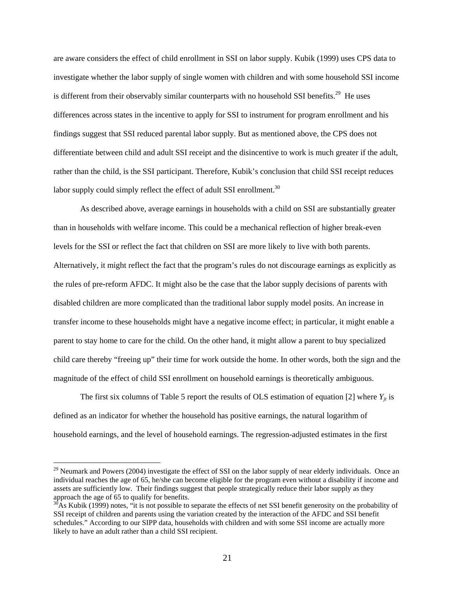are aware considers the effect of child enrollment in SSI on labor supply. Kubik (1999) uses CPS data to investigate whether the labor supply of single women with children and with some household SSI income is different from their observably similar counterparts with no household SSI benefits.<sup>29</sup> He uses differences across states in the incentive to apply for SSI to instrument for program enrollment and his findings suggest that SSI reduced parental labor supply. But as mentioned above, the CPS does not differentiate between child and adult SSI receipt and the disincentive to work is much greater if the adult, rather than the child, is the SSI participant. Therefore, Kubik's conclusion that child SSI receipt reduces labor supply could simply reflect the effect of adult SSI enrollment.<sup>30</sup>

As described above, average earnings in households with a child on SSI are substantially greater than in households with welfare income. This could be a mechanical reflection of higher break-even levels for the SSI or reflect the fact that children on SSI are more likely to live with both parents. Alternatively, it might reflect the fact that the program's rules do not discourage earnings as explicitly as the rules of pre-reform AFDC. It might also be the case that the labor supply decisions of parents with disabled children are more complicated than the traditional labor supply model posits. An increase in transfer income to these households might have a negative income effect; in particular, it might enable a parent to stay home to care for the child. On the other hand, it might allow a parent to buy specialized child care thereby "freeing up" their time for work outside the home. In other words, both the sign and the magnitude of the effect of child SSI enrollment on household earnings is theoretically ambiguous.

The first six columns of Table 5 report the results of OLS estimation of equation [2] where  $Y_{it}$  is defined as an indicator for whether the household has positive earnings, the natural logarithm of household earnings, and the level of household earnings. The regression-adjusted estimates in the first

<sup>&</sup>lt;sup>29</sup> Neumark and Powers (2004) investigate the effect of SSI on the labor supply of near elderly individuals. Once an individual reaches the age of 65, he/she can become eligible for the program even without a disability if income and assets are sufficiently low. Their findings suggest that people strategically reduce their labor supply as they approach the age of 65 to qualify for benefits.

 $30<sup>30</sup>$ As Kubik (1999) notes, "it is not possible to separate the effects of net SSI benefit generosity on the probability of SSI receipt of children and parents using the variation created by the interaction of the AFDC and SSI benefit schedules." According to our SIPP data, households with children and with some SSI income are actually more likely to have an adult rather than a child SSI recipient.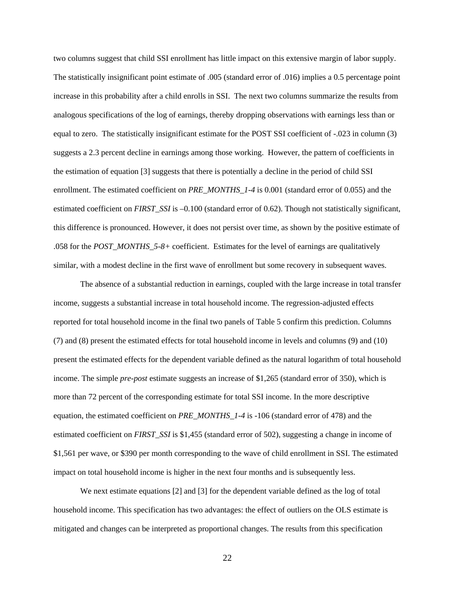two columns suggest that child SSI enrollment has little impact on this extensive margin of labor supply. The statistically insignificant point estimate of .005 (standard error of .016) implies a 0.5 percentage point increase in this probability after a child enrolls in SSI. The next two columns summarize the results from analogous specifications of the log of earnings, thereby dropping observations with earnings less than or equal to zero. The statistically insignificant estimate for the POST SSI coefficient of -.023 in column (3) suggests a 2.3 percent decline in earnings among those working. However, the pattern of coefficients in the estimation of equation [3] suggests that there is potentially a decline in the period of child SSI enrollment. The estimated coefficient on *PRE\_MONTHS\_1-4* is 0.001 (standard error of 0.055) and the estimated coefficient on *FIRST\_SSI* is –0.100 (standard error of 0.62). Though not statistically significant, this difference is pronounced. However, it does not persist over time, as shown by the positive estimate of .058 for the *POST\_MONTHS\_5-8+* coefficient. Estimates for the level of earnings are qualitatively similar, with a modest decline in the first wave of enrollment but some recovery in subsequent waves.

The absence of a substantial reduction in earnings, coupled with the large increase in total transfer income, suggests a substantial increase in total household income. The regression-adjusted effects reported for total household income in the final two panels of Table 5 confirm this prediction. Columns (7) and (8) present the estimated effects for total household income in levels and columns (9) and (10) present the estimated effects for the dependent variable defined as the natural logarithm of total household income. The simple *pre-post* estimate suggests an increase of \$1,265 (standard error of 350), which is more than 72 percent of the corresponding estimate for total SSI income. In the more descriptive equation, the estimated coefficient on *PRE\_MONTHS\_1-4* is -106 (standard error of 478) and the estimated coefficient on *FIRST\_SSI* is \$1,455 (standard error of 502), suggesting a change in income of \$1,561 per wave, or \$390 per month corresponding to the wave of child enrollment in SSI. The estimated impact on total household income is higher in the next four months and is subsequently less.

We next estimate equations [2] and [3] for the dependent variable defined as the log of total household income. This specification has two advantages: the effect of outliers on the OLS estimate is mitigated and changes can be interpreted as proportional changes. The results from this specification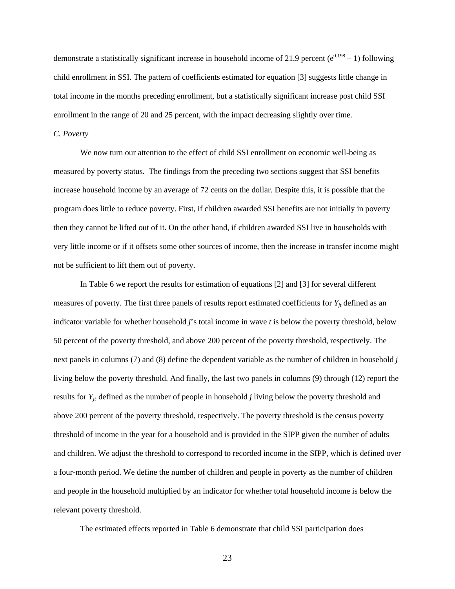demonstrate a statistically significant increase in household income of 21.9 percent ( $e^{0.198} - 1$ ) following child enrollment in SSI. The pattern of coefficients estimated for equation [3] suggests little change in total income in the months preceding enrollment, but a statistically significant increase post child SSI enrollment in the range of 20 and 25 percent, with the impact decreasing slightly over time.

#### *C. Poverty*

We now turn our attention to the effect of child SSI enrollment on economic well-being as measured by poverty status. The findings from the preceding two sections suggest that SSI benefits increase household income by an average of 72 cents on the dollar. Despite this, it is possible that the program does little to reduce poverty. First, if children awarded SSI benefits are not initially in poverty then they cannot be lifted out of it. On the other hand, if children awarded SSI live in households with very little income or if it offsets some other sources of income, then the increase in transfer income might not be sufficient to lift them out of poverty.

In Table 6 we report the results for estimation of equations [2] and [3] for several different measures of poverty. The first three panels of results report estimated coefficients for  $Y_{it}$  defined as an indicator variable for whether household *j*'s total income in wave *t* is below the poverty threshold, below 50 percent of the poverty threshold, and above 200 percent of the poverty threshold, respectively. The next panels in columns (7) and (8) define the dependent variable as the number of children in household *j* living below the poverty threshold. And finally, the last two panels in columns (9) through (12) report the results for  $Y_{jt}$  defined as the number of people in household *j* living below the poverty threshold and above 200 percent of the poverty threshold, respectively. The poverty threshold is the census poverty threshold of income in the year for a household and is provided in the SIPP given the number of adults and children. We adjust the threshold to correspond to recorded income in the SIPP, which is defined over a four-month period. We define the number of children and people in poverty as the number of children and people in the household multiplied by an indicator for whether total household income is below the relevant poverty threshold.

The estimated effects reported in Table 6 demonstrate that child SSI participation does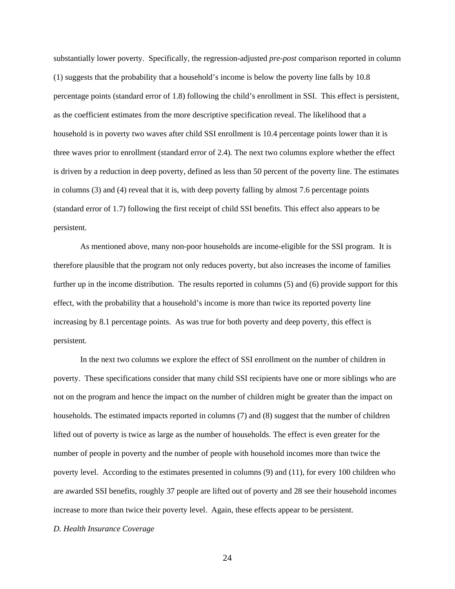substantially lower poverty. Specifically, the regression-adjusted *pre-post* comparison reported in column (1) suggests that the probability that a household's income is below the poverty line falls by 10.8 percentage points (standard error of 1.8) following the child's enrollment in SSI. This effect is persistent, as the coefficient estimates from the more descriptive specification reveal. The likelihood that a household is in poverty two waves after child SSI enrollment is 10.4 percentage points lower than it is three waves prior to enrollment (standard error of 2.4). The next two columns explore whether the effect is driven by a reduction in deep poverty, defined as less than 50 percent of the poverty line. The estimates in columns (3) and (4) reveal that it is, with deep poverty falling by almost 7.6 percentage points (standard error of 1.7) following the first receipt of child SSI benefits. This effect also appears to be persistent.

As mentioned above, many non-poor households are income-eligible for the SSI program. It is therefore plausible that the program not only reduces poverty, but also increases the income of families further up in the income distribution. The results reported in columns (5) and (6) provide support for this effect, with the probability that a household's income is more than twice its reported poverty line increasing by 8.1 percentage points. As was true for both poverty and deep poverty, this effect is persistent.

In the next two columns we explore the effect of SSI enrollment on the number of children in poverty. These specifications consider that many child SSI recipients have one or more siblings who are not on the program and hence the impact on the number of children might be greater than the impact on households. The estimated impacts reported in columns (7) and (8) suggest that the number of children lifted out of poverty is twice as large as the number of households. The effect is even greater for the number of people in poverty and the number of people with household incomes more than twice the poverty level. According to the estimates presented in columns (9) and (11), for every 100 children who are awarded SSI benefits, roughly 37 people are lifted out of poverty and 28 see their household incomes increase to more than twice their poverty level. Again, these effects appear to be persistent.

#### *D. Health Insurance Coverage*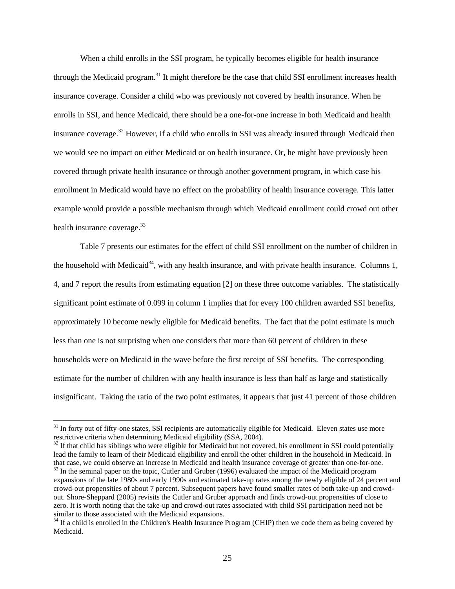When a child enrolls in the SSI program, he typically becomes eligible for health insurance through the Medicaid program.<sup>31</sup> It might therefore be the case that child SSI enrollment increases health insurance coverage. Consider a child who was previously not covered by health insurance. When he enrolls in SSI, and hence Medicaid, there should be a one-for-one increase in both Medicaid and health insurance coverage.32 However, if a child who enrolls in SSI was already insured through Medicaid then we would see no impact on either Medicaid or on health insurance. Or, he might have previously been covered through private health insurance or through another government program, in which case his enrollment in Medicaid would have no effect on the probability of health insurance coverage. This latter example would provide a possible mechanism through which Medicaid enrollment could crowd out other health insurance coverage.<sup>33</sup>

Table 7 presents our estimates for the effect of child SSI enrollment on the number of children in the household with Medicaid<sup>34</sup>, with any health insurance, and with private health insurance. Columns 1, 4, and 7 report the results from estimating equation [2] on these three outcome variables. The statistically significant point estimate of 0.099 in column 1 implies that for every 100 children awarded SSI benefits, approximately 10 become newly eligible for Medicaid benefits. The fact that the point estimate is much less than one is not surprising when one considers that more than 60 percent of children in these households were on Medicaid in the wave before the first receipt of SSI benefits. The corresponding estimate for the number of children with any health insurance is less than half as large and statistically insignificant. Taking the ratio of the two point estimates, it appears that just 41 percent of those children

 $31$  In forty out of fifty-one states, SSI recipients are automatically eligible for Medicaid. Eleven states use more restrictive criteria when determining Medicaid eligibility (SSA, 2004).

<sup>&</sup>lt;sup>32</sup> If that child has siblings who were eligible for Medicaid but not covered, his enrollment in SSI could potentially lead the family to learn of their Medicaid eligibility and enroll the other children in the household in Medicaid. In that case, we could observe an increase in Medicaid and health insurance coverage of greater than one-fo  $t<sup>33</sup>$  In the seminal paper on the topic, Cutler and Gruber (1996) evaluated the impact of the Medicaid program

expansions of the late 1980s and early 1990s and estimated take-up rates among the newly eligible of 24 percent and crowd-out propensities of about 7 percent. Subsequent papers have found smaller rates of both take-up and crowdout. Shore-Sheppard (2005) revisits the Cutler and Gruber approach and finds crowd-out propensities of close to zero. It is worth noting that the take-up and crowd-out rates associated with child SSI participation need not be similar to those associated with the Medicaid expansions.

 $34$  If a child is enrolled in the Children's Health Insurance Program (CHIP) then we code them as being covered by Medicaid.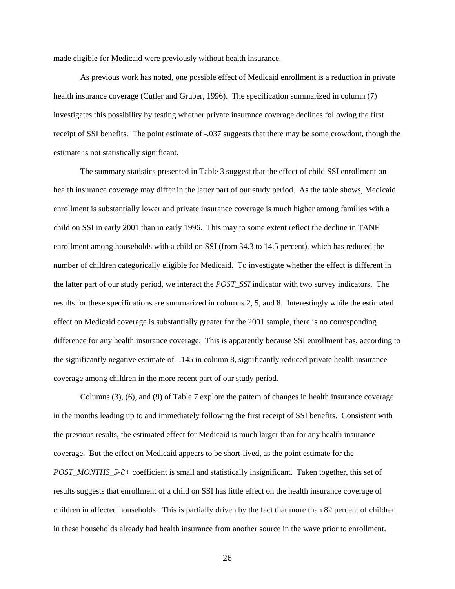made eligible for Medicaid were previously without health insurance.

As previous work has noted, one possible effect of Medicaid enrollment is a reduction in private health insurance coverage (Cutler and Gruber, 1996). The specification summarized in column (7) investigates this possibility by testing whether private insurance coverage declines following the first receipt of SSI benefits. The point estimate of -.037 suggests that there may be some crowdout, though the estimate is not statistically significant.

The summary statistics presented in Table 3 suggest that the effect of child SSI enrollment on health insurance coverage may differ in the latter part of our study period. As the table shows, Medicaid enrollment is substantially lower and private insurance coverage is much higher among families with a child on SSI in early 2001 than in early 1996. This may to some extent reflect the decline in TANF enrollment among households with a child on SSI (from 34.3 to 14.5 percent), which has reduced the number of children categorically eligible for Medicaid. To investigate whether the effect is different in the latter part of our study period, we interact the *POST\_SSI* indicator with two survey indicators. The results for these specifications are summarized in columns 2, 5, and 8. Interestingly while the estimated effect on Medicaid coverage is substantially greater for the 2001 sample, there is no corresponding difference for any health insurance coverage. This is apparently because SSI enrollment has, according to the significantly negative estimate of -.145 in column 8, significantly reduced private health insurance coverage among children in the more recent part of our study period.

 Columns (3), (6), and (9) of Table 7 explore the pattern of changes in health insurance coverage in the months leading up to and immediately following the first receipt of SSI benefits. Consistent with the previous results, the estimated effect for Medicaid is much larger than for any health insurance coverage. But the effect on Medicaid appears to be short-lived, as the point estimate for the *POST\_MONTHS\_5-8+* coefficient is small and statistically insignificant. Taken together, this set of results suggests that enrollment of a child on SSI has little effect on the health insurance coverage of children in affected households. This is partially driven by the fact that more than 82 percent of children in these households already had health insurance from another source in the wave prior to enrollment.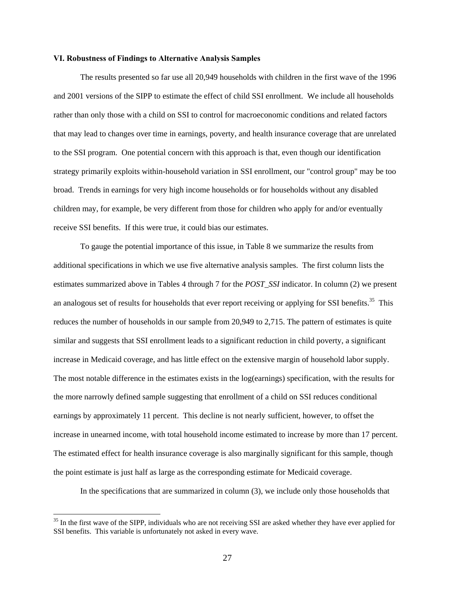#### **VI. Robustness of Findings to Alternative Analysis Samples**

The results presented so far use all 20,949 households with children in the first wave of the 1996 and 2001 versions of the SIPP to estimate the effect of child SSI enrollment. We include all households rather than only those with a child on SSI to control for macroeconomic conditions and related factors that may lead to changes over time in earnings, poverty, and health insurance coverage that are unrelated to the SSI program. One potential concern with this approach is that, even though our identification strategy primarily exploits within-household variation in SSI enrollment, our "control group" may be too broad. Trends in earnings for very high income households or for households without any disabled children may, for example, be very different from those for children who apply for and/or eventually receive SSI benefits. If this were true, it could bias our estimates.

To gauge the potential importance of this issue, in Table 8 we summarize the results from additional specifications in which we use five alternative analysis samples. The first column lists the estimates summarized above in Tables 4 through 7 for the *POST\_SSI* indicator. In column (2) we present an analogous set of results for households that ever report receiving or applying for SSI benefits.<sup>35</sup> This reduces the number of households in our sample from 20,949 to 2,715. The pattern of estimates is quite similar and suggests that SSI enrollment leads to a significant reduction in child poverty, a significant increase in Medicaid coverage, and has little effect on the extensive margin of household labor supply. The most notable difference in the estimates exists in the log(earnings) specification, with the results for the more narrowly defined sample suggesting that enrollment of a child on SSI reduces conditional earnings by approximately 11 percent. This decline is not nearly sufficient, however, to offset the increase in unearned income, with total household income estimated to increase by more than 17 percent. The estimated effect for health insurance coverage is also marginally significant for this sample, though the point estimate is just half as large as the corresponding estimate for Medicaid coverage.

In the specifications that are summarized in column (3), we include only those households that

<sup>&</sup>lt;sup>35</sup> In the first wave of the SIPP, individuals who are not receiving SSI are asked whether they have ever applied for SSI benefits. This variable is unfortunately not asked in every wave.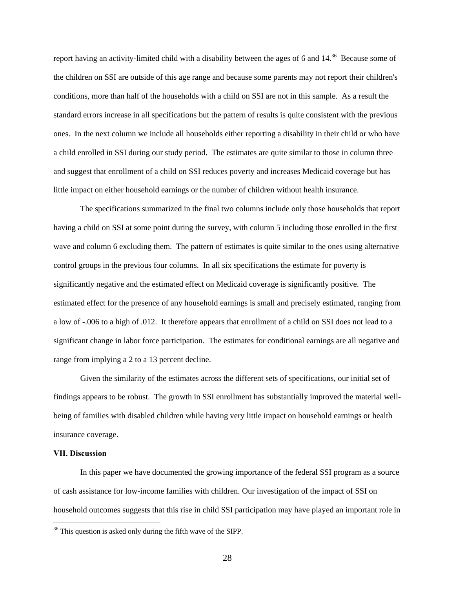report having an activity-limited child with a disability between the ages of 6 and 14.<sup>36</sup> Because some of the children on SSI are outside of this age range and because some parents may not report their children's conditions, more than half of the households with a child on SSI are not in this sample. As a result the standard errors increase in all specifications but the pattern of results is quite consistent with the previous ones. In the next column we include all households either reporting a disability in their child or who have a child enrolled in SSI during our study period. The estimates are quite similar to those in column three and suggest that enrollment of a child on SSI reduces poverty and increases Medicaid coverage but has little impact on either household earnings or the number of children without health insurance.

 The specifications summarized in the final two columns include only those households that report having a child on SSI at some point during the survey, with column 5 including those enrolled in the first wave and column 6 excluding them. The pattern of estimates is quite similar to the ones using alternative control groups in the previous four columns. In all six specifications the estimate for poverty is significantly negative and the estimated effect on Medicaid coverage is significantly positive. The estimated effect for the presence of any household earnings is small and precisely estimated, ranging from a low of -.006 to a high of .012. It therefore appears that enrollment of a child on SSI does not lead to a significant change in labor force participation. The estimates for conditional earnings are all negative and range from implying a 2 to a 13 percent decline.

 Given the similarity of the estimates across the different sets of specifications, our initial set of findings appears to be robust. The growth in SSI enrollment has substantially improved the material wellbeing of families with disabled children while having very little impact on household earnings or health insurance coverage.

## **VII. Discussion**

 $\overline{a}$ 

In this paper we have documented the growing importance of the federal SSI program as a source of cash assistance for low-income families with children. Our investigation of the impact of SSI on household outcomes suggests that this rise in child SSI participation may have played an important role in

<sup>&</sup>lt;sup>36</sup> This question is asked only during the fifth wave of the SIPP.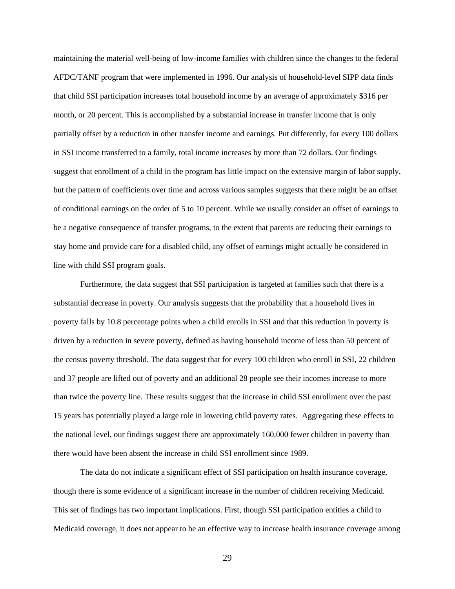maintaining the material well-being of low-income families with children since the changes to the federal AFDC/TANF program that were implemented in 1996. Our analysis of household-level SIPP data finds that child SSI participation increases total household income by an average of approximately \$316 per month, or 20 percent. This is accomplished by a substantial increase in transfer income that is only partially offset by a reduction in other transfer income and earnings. Put differently, for every 100 dollars in SSI income transferred to a family, total income increases by more than 72 dollars. Our findings suggest that enrollment of a child in the program has little impact on the extensive margin of labor supply, but the pattern of coefficients over time and across various samples suggests that there might be an offset of conditional earnings on the order of 5 to 10 percent. While we usually consider an offset of earnings to be a negative consequence of transfer programs, to the extent that parents are reducing their earnings to stay home and provide care for a disabled child, any offset of earnings might actually be considered in line with child SSI program goals.

Furthermore, the data suggest that SSI participation is targeted at families such that there is a substantial decrease in poverty. Our analysis suggests that the probability that a household lives in poverty falls by 10.8 percentage points when a child enrolls in SSI and that this reduction in poverty is driven by a reduction in severe poverty, defined as having household income of less than 50 percent of the census poverty threshold. The data suggest that for every 100 children who enroll in SSI, 22 children and 37 people are lifted out of poverty and an additional 28 people see their incomes increase to more than twice the poverty line. These results suggest that the increase in child SSI enrollment over the past 15 years has potentially played a large role in lowering child poverty rates. Aggregating these effects to the national level, our findings suggest there are approximately 160,000 fewer children in poverty than there would have been absent the increase in child SSI enrollment since 1989.

The data do not indicate a significant effect of SSI participation on health insurance coverage, though there is some evidence of a significant increase in the number of children receiving Medicaid. This set of findings has two important implications. First, though SSI participation entitles a child to Medicaid coverage, it does not appear to be an effective way to increase health insurance coverage among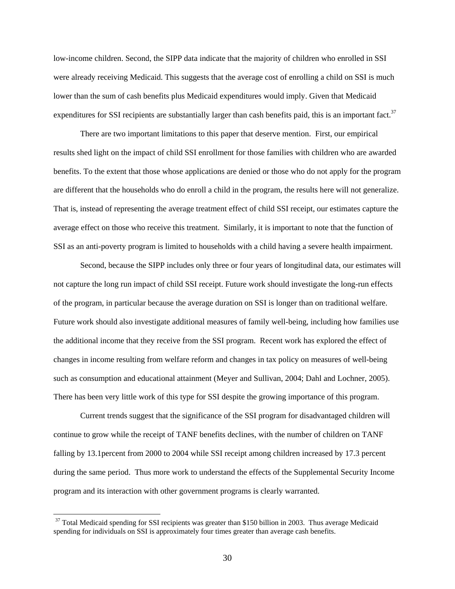low-income children. Second, the SIPP data indicate that the majority of children who enrolled in SSI were already receiving Medicaid. This suggests that the average cost of enrolling a child on SSI is much lower than the sum of cash benefits plus Medicaid expenditures would imply. Given that Medicaid expenditures for SSI recipients are substantially larger than cash benefits paid, this is an important fact.<sup>37</sup>

There are two important limitations to this paper that deserve mention. First, our empirical results shed light on the impact of child SSI enrollment for those families with children who are awarded benefits. To the extent that those whose applications are denied or those who do not apply for the program are different that the households who do enroll a child in the program, the results here will not generalize. That is, instead of representing the average treatment effect of child SSI receipt, our estimates capture the average effect on those who receive this treatment. Similarly, it is important to note that the function of SSI as an anti-poverty program is limited to households with a child having a severe health impairment.

Second, because the SIPP includes only three or four years of longitudinal data, our estimates will not capture the long run impact of child SSI receipt. Future work should investigate the long-run effects of the program, in particular because the average duration on SSI is longer than on traditional welfare. Future work should also investigate additional measures of family well-being, including how families use the additional income that they receive from the SSI program. Recent work has explored the effect of changes in income resulting from welfare reform and changes in tax policy on measures of well-being such as consumption and educational attainment (Meyer and Sullivan, 2004; Dahl and Lochner, 2005). There has been very little work of this type for SSI despite the growing importance of this program.

Current trends suggest that the significance of the SSI program for disadvantaged children will continue to grow while the receipt of TANF benefits declines, with the number of children on TANF falling by 13.1percent from 2000 to 2004 while SSI receipt among children increased by 17.3 percent during the same period. Thus more work to understand the effects of the Supplemental Security Income program and its interaction with other government programs is clearly warranted.

 $37$  Total Medicaid spending for SSI recipients was greater than \$150 billion in 2003. Thus average Medicaid spending for individuals on SSI is approximately four times greater than average cash benefits.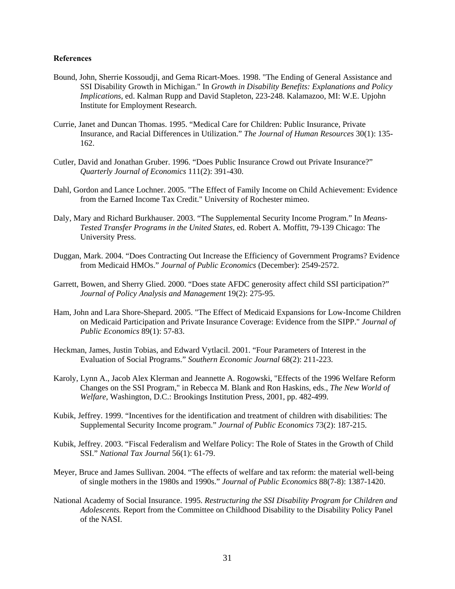#### **References**

- Bound, John, Sherrie Kossoudji, and Gema Ricart-Moes. 1998. "The Ending of General Assistance and SSI Disability Growth in Michigan." In *Growth in Disability Benefits: Explanations and Policy Implications*, ed. Kalman Rupp and David Stapleton, 223-248. Kalamazoo, MI: W.E. Upjohn Institute for Employment Research.
- Currie, Janet and Duncan Thomas. 1995. "Medical Care for Children: Public Insurance, Private Insurance, and Racial Differences in Utilization." *The Journal of Human Resources* 30(1): 135- 162.
- Cutler, David and Jonathan Gruber. 1996. "Does Public Insurance Crowd out Private Insurance?" *Quarterly Journal of Economics* 111(2): 391-430.
- Dahl, Gordon and Lance Lochner. 2005. "The Effect of Family Income on Child Achievement: Evidence from the Earned Income Tax Credit." University of Rochester mimeo.
- Daly, Mary and Richard Burkhauser. 2003. "The Supplemental Security Income Program." In *Means-Tested Transfer Programs in the United States,* ed. Robert A. Moffitt, 79-139 Chicago: The University Press.
- Duggan, Mark. 2004. "Does Contracting Out Increase the Efficiency of Government Programs? Evidence from Medicaid HMOs." *Journal of Public Economics* (December): 2549-2572.
- Garrett, Bowen, and Sherry Glied. 2000. "Does state AFDC generosity affect child SSI participation?" *Journal of Policy Analysis and Management* 19(2): 275-95.
- Ham, John and Lara Shore-Shepard. 2005. "The Effect of Medicaid Expansions for Low-Income Children on Medicaid Participation and Private Insurance Coverage: Evidence from the SIPP." *Journal of Public Economics* 89(1): 57-83.
- Heckman, James, Justin Tobias, and Edward Vytlacil. 2001. "Four Parameters of Interest in the Evaluation of Social Programs." *Southern Economic Journal* 68(2): 211-223.
- Karoly, Lynn A., Jacob Alex Klerman and Jeannette A. Rogowski, "Effects of the 1996 Welfare Reform Changes on the SSI Program," in Rebecca M. Blank and Ron Haskins, eds., *The New World of Welfare*, Washington, D.C.: Brookings Institution Press, 2001, pp. 482-499.
- Kubik, Jeffrey. 1999. "Incentives for the identification and treatment of children with disabilities: The Supplemental Security Income program." *Journal of Public Economics* 73(2): 187-215.
- Kubik, Jeffrey. 2003. "Fiscal Federalism and Welfare Policy: The Role of States in the Growth of Child SSI." *National Tax Journal* 56(1): 61-79.
- Meyer, Bruce and James Sullivan. 2004. "The effects of welfare and tax reform: the material well-being of single mothers in the 1980s and 1990s." *Journal of Public Economics* 88(7-8): 1387-1420.
- National Academy of Social Insurance. 1995. *Restructuring the SSI Disability Program for Children and Adolescents.* Report from the Committee on Childhood Disability to the Disability Policy Panel of the NASI.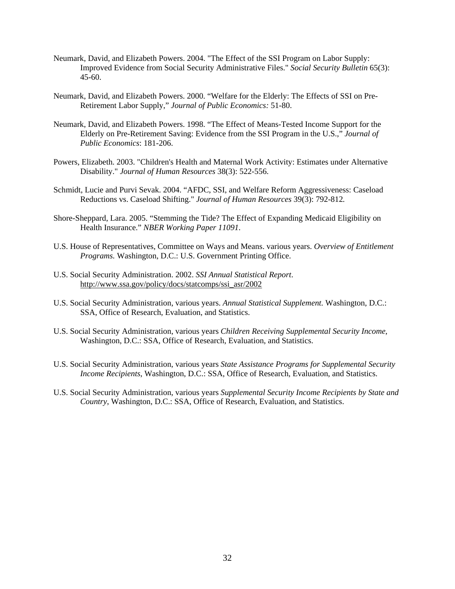- Neumark, David, and Elizabeth Powers. 2004. "The Effect of the SSI Program on Labor Supply: Improved Evidence from Social Security Administrative Files." *Social Security Bulletin* 65(3): 45-60.
- Neumark, David, and Elizabeth Powers. 2000. "Welfare for the Elderly: The Effects of SSI on Pre-Retirement Labor Supply," *Journal of Public Economics:* 51-80.
- Neumark, David, and Elizabeth Powers. 1998. "The Effect of Means-Tested Income Support for the Elderly on Pre-Retirement Saving: Evidence from the SSI Program in the U.S.," *Journal of Public Economics*: 181-206.
- Powers, Elizabeth. 2003. "Children's Health and Maternal Work Activity: Estimates under Alternative Disability." *Journal of Human Resources* 38(3): 522-556.
- Schmidt, Lucie and Purvi Sevak. 2004. "AFDC, SSI, and Welfare Reform Aggressiveness: Caseload Reductions vs. Caseload Shifting." *Journal of Human Resources* 39(3): 792-812*.*
- Shore-Sheppard, Lara. 2005. "Stemming the Tide? The Effect of Expanding Medicaid Eligibility on Health Insurance." *NBER Working Paper 11091*.
- U.S. House of Representatives, Committee on Ways and Means. various years. *Overview of Entitlement Programs.* Washington, D.C.: U.S. Government Printing Office.
- U.S. Social Security Administration. 2002. *SSI Annual Statistical Report*. http://www.ssa.gov/policy/docs/statcomps/ssi\_asr/2002
- U.S. Social Security Administration, various years. *Annual Statistical Supplement.* Washington, D.C.: SSA, Office of Research, Evaluation, and Statistics.
- U.S. Social Security Administration, various years *Children Receiving Supplemental Security Income*, Washington, D.C.: SSA, Office of Research, Evaluation, and Statistics.
- U.S. Social Security Administration, various years *State Assistance Programs for Supplemental Security Income Recipients*, Washington, D.C.: SSA, Office of Research, Evaluation, and Statistics.
- U.S. Social Security Administration, various years *Supplemental Security Income Recipients by State and Country*, Washington, D.C.: SSA, Office of Research, Evaluation, and Statistics.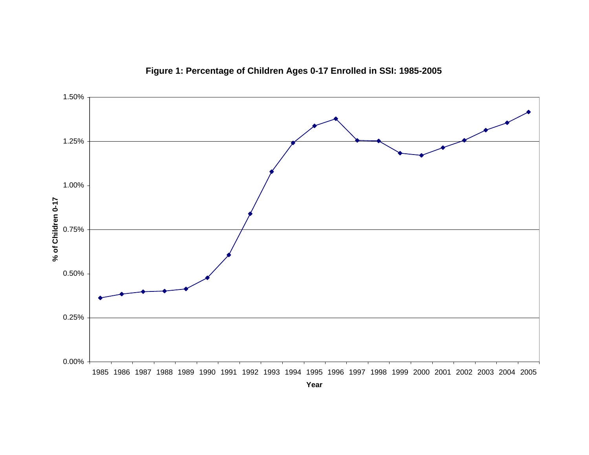

**Figure 1: Percentage of Children Ages 0-17 Enrolled in SSI: 1985-2005**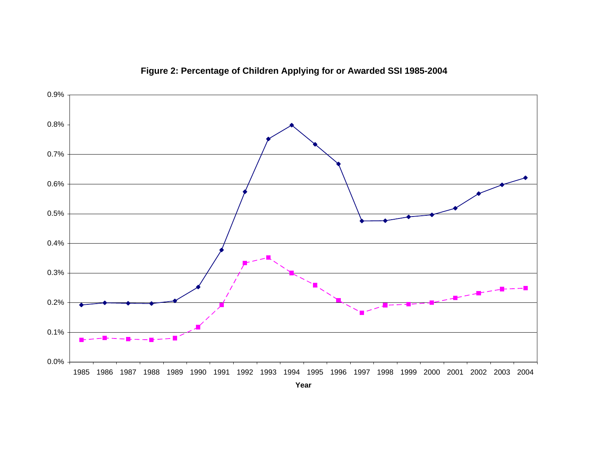

# **Figure 2: Percentage of Children Applying for or Awarded SSI 1985-2004**

**Year**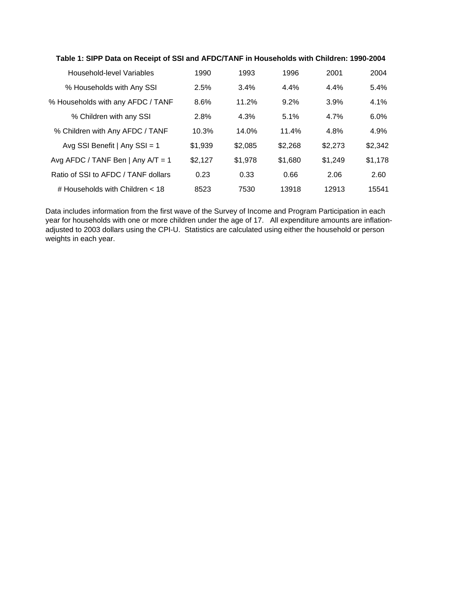| Household-level Variables            | 1990    | 1993    | 1996    | 2001    | 2004    |
|--------------------------------------|---------|---------|---------|---------|---------|
| % Households with Any SSI            | 2.5%    | 3.4%    | 4.4%    | 4.4%    | 5.4%    |
| % Households with any AFDC / TANF    | 8.6%    | 11.2%   | 9.2%    | 3.9%    | 4.1%    |
| % Children with any SSI              | 2.8%    | 4.3%    | 5.1%    | 4.7%    | $6.0\%$ |
| % Children with Any AFDC / TANF      | 10.3%   | 14.0%   | 11.4%   | 4.8%    | 4.9%    |
| Avg SSI Benefit   Any SSI = 1        | \$1,939 | \$2,085 | \$2,268 | \$2,273 | \$2,342 |
| Avg AFDC / TANF Ben   Any $A/T = 1$  | \$2,127 | \$1.978 | \$1,680 | \$1,249 | \$1,178 |
| Ratio of SSI to AFDC / TANF dollars  | 0.23    | 0.33    | 0.66    | 2.06    | 2.60    |
| $\#$ Households with Children $< 18$ | 8523    | 7530    | 13918   | 12913   | 15541   |

**Table 1: SIPP Data on Receipt of SSI and AFDC/TANF in Households with Children: 1990-2004**

Data includes information from the first wave of the Survey of Income and Program Participation in each year for households with one or more children under the age of 17. All expenditure amounts are inflationadjusted to 2003 dollars using the CPI-U. Statistics are calculated using either the household or person weights in each year.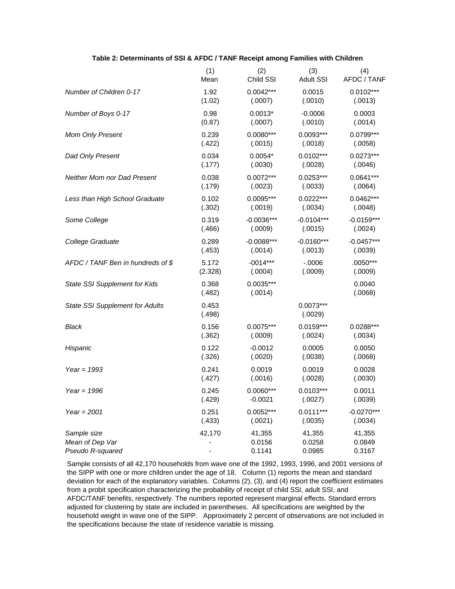|                                        | (1)             | (2)                    | (3)                    | (4)               |
|----------------------------------------|-----------------|------------------------|------------------------|-------------------|
|                                        | Mean            | Child SSI              | <b>Adult SSI</b>       | AFDC / TANF       |
| Number of Children 0-17                | 1.92            | $0.0042***$            | 0.0015                 | $0.0102***$       |
|                                        | (1.02)          | (.0007)                | (.0010)                | (.0013)           |
| Number of Boys 0-17                    | 0.98            | $0.0013*$              | $-0.0006$              | 0.0003            |
|                                        | (0.87)          | (.0007)                | (.0010)                | (.0014)           |
| Mom Only Present                       | 0.239           | $0.0080***$            | $0.0093***$            | $0.0799***$       |
|                                        | (.422)          | (.0015)                | (.0018)                | (.0058)           |
| Dad Only Present                       | 0.034           | $0.0054*$              | $0.0102***$            | $0.0273***$       |
|                                        | (.177)          | (.0030)                | (.0028)                | (.0046)           |
| <b>Neither Mom nor Dad Present</b>     | 0.038           | $0.0072***$            | $0.0253***$            | $0.0641***$       |
|                                        | (.179)          | (.0023)                | (.0033)                | (.0064)           |
| Less than High School Graduate         | 0.102           | $0.0095***$            | $0.0222***$            | $0.0462***$       |
|                                        | (.302)          | (.0019)                | (.0034)                | (.0048)           |
| Some College                           | 0.319           | $-0.0036***$           | $-0.0104***$           | $-0.0159***$      |
|                                        | (.466)          | (.0009)                | (.0015)                | (.0024)           |
| College Graduate                       | 0.289           | $-0.0088***$           | $-0.0160***$           | $-0.0457***$      |
|                                        | (.453)          | (.0014)                | (.0013)                | (.0039)           |
| AFDC / TANF Ben in hundreds of \$      | 5.172           | $-0014***$             | $-0.0006$              | .0050***          |
|                                        | (2.328)         | (.0004)                | (.0009)                | (.0009)           |
| State SSI Supplement for Kids          | 0.368<br>(.482) | $0.0035***$<br>(.0014) |                        | 0.0040<br>(.0068) |
| <b>State SSI Supplement for Adults</b> | 0.453<br>(.498) |                        | $0.0073***$<br>(.0029) |                   |
| Black                                  | 0.156           | $0.0075***$            | $0.0159***$            | $0.0288***$       |
|                                        | (.362)          | (.0009)                | (.0024)                | (.0034)           |
| Hispanic                               | 0.122           | $-0.0012$              | 0.0005                 | 0.0050            |
|                                        | (.326)          | (.0020)                | (.0038)                | (.0068)           |
| Year = $1993$                          | 0.241           | 0.0019                 | 0.0019                 | 0.0028            |
|                                        | (.427)          | (.0016)                | (.0028)                | (.0030)           |
| Year = $1996$                          | 0.245           | $0.0060***$            | $0.0103***$            | 0.0011            |
|                                        | (.429)          | $-0.0021$              | (.0027)                | (.0039)           |
| Year = $2001$                          | 0.251           | $0.0052***$            | $0.0111***$            | $-0.0270***$      |
|                                        | (.433)          | (.0021)                | (.0035)                | (.0034)           |
| Sample size                            | 42,170          | 41,355                 | 41,355                 | 41,355            |
| Mean of Dep Var                        |                 | 0.0156                 | 0.0258                 | 0.0849            |
| Pseudo R-squared                       |                 | 0.1141                 | 0.0985                 | 0.3167            |

#### **Table 2: Determinants of SSI & AFDC / TANF Receipt among Families with Children**

Sample consists of all 42,170 households from wave one of the 1992, 1993, 1996, and 2001 versions of the SIPP with one or more children under the age of 18. Column (1) reports the mean and standard deviation for each of the explanatory variables. Columns (2), (3), and (4) report the coefficient estimates from a probit specification characterizing the probability of receipt of child SSI, adult SSI, and AFDC/TANF benefits, respectively. The numbers reported represent marginal effects. Standard errors adjusted for clustering by state are included in parentheses. All specifications are weighted by the household weight in wave one of the SIPP. Approximately 2 percent of observations are not included in the specifications because the state of residence variable is missing.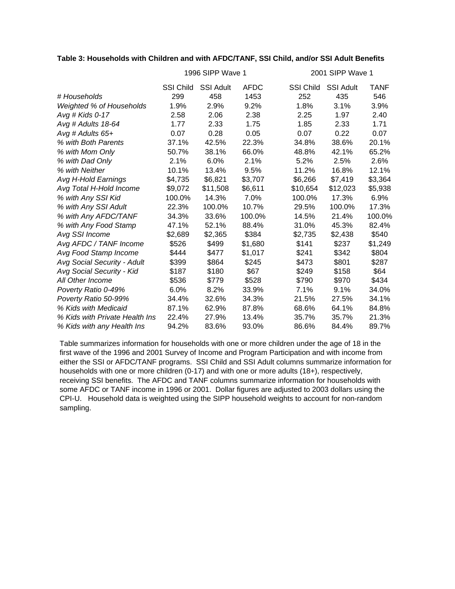## **Table 3: Households with Children and with AFDC/TANF, SSI Child, and/or SSI Adult Benefits**

|                                |                  | 1996 SIPP Wave 1 |             |                  | 2001 SIPP Wave 1 |             |  |  |  |
|--------------------------------|------------------|------------------|-------------|------------------|------------------|-------------|--|--|--|
|                                | <b>SSI Child</b> | <b>SSI Adult</b> | <b>AFDC</b> | <b>SSI Child</b> | <b>SSI Adult</b> | <b>TANF</b> |  |  |  |
| # Households                   | 299              | 458              | 1453        | 252              | 435              | 546         |  |  |  |
| Weighted % of Households       | 1.9%             | 2.9%             | 9.2%        | 1.8%             | 3.1%             | 3.9%        |  |  |  |
| Avg # Kids $0-17$              | 2.58             | 2.06             | 2.38        | 2.25             | 1.97             | 2.40        |  |  |  |
| Avg # Adults 18-64             | 1.77             | 2.33             | 1.75        | 1.85             | 2.33             | 1.71        |  |  |  |
| Avg # Adults 65+               | 0.07             | 0.28             | 0.05        | 0.07             | 0.22             | 0.07        |  |  |  |
| % with Both Parents            | 37.1%            | 42.5%            | 22.3%       | 34.8%            | 38.6%            | 20.1%       |  |  |  |
| % with Mom Only                | 50.7%            | 38.1%            | 66.0%       | 48.8%            | 42.1%            | 65.2%       |  |  |  |
| % with Dad Only                | 2.1%             | 6.0%             | 2.1%        | 5.2%             | 2.5%             | 2.6%        |  |  |  |
| % with Neither                 | 10.1%            | 13.4%            | 9.5%        | 11.2%            | 16.8%            | 12.1%       |  |  |  |
| Avg H-Hold Earnings            | \$4,735          | \$6,821          | \$3,707     | \$6,266          | \$7,419          | \$3,364     |  |  |  |
| Avg Total H-Hold Income        | \$9,072          | \$11,508         | \$6,611     | \$10,654         | \$12,023         | \$5,938     |  |  |  |
| % with Any SSI Kid             | 100.0%           | 14.3%            | 7.0%        | 100.0%           | 17.3%            | 6.9%        |  |  |  |
| % with Any SSI Adult           | 22.3%            | 100.0%           | 10.7%       | 29.5%            | 100.0%           | 17.3%       |  |  |  |
| % with Any AFDC/TANF           | 34.3%            | 33.6%            | 100.0%      | 14.5%            | 21.4%            | 100.0%      |  |  |  |
| % with Any Food Stamp          | 47.1%            | 52.1%            | 88.4%       | 31.0%            | 45.3%            | 82.4%       |  |  |  |
| Avg SSI Income                 | \$2,689          | \$2,365          | \$384       | \$2,735          | \$2,438          | \$540       |  |  |  |
| Avg AFDC / TANF Income         | \$526            | \$499            | \$1,680     | \$141            | \$237            | \$1,249     |  |  |  |
| Avg Food Stamp Income          | \$444            | \$477            | \$1,017     | \$241            | \$342            | \$804       |  |  |  |
| Avg Social Security - Adult    | \$399            | \$864            | \$245       | \$473            | \$801            | \$287       |  |  |  |
| Avg Social Security - Kid      | \$187            | \$180            | \$67        | \$249            | \$158            | \$64        |  |  |  |
| All Other Income               | \$536            | \$779            | \$528       | \$790            | \$970            | \$434       |  |  |  |
| Poverty Ratio 0-49%            | 6.0%             | 8.2%             | 33.9%       | 7.1%             | 9.1%             | 34.0%       |  |  |  |
| Poverty Ratio 50-99%           | 34.4%            | 32.6%            | 34.3%       | 21.5%            | 27.5%            | 34.1%       |  |  |  |
| % Kids with Medicaid           | 87.1%            | 62.9%            | 87.8%       | 68.6%            | 64.1%            | 84.8%       |  |  |  |
| % Kids with Private Health Ins | 22.4%            | 27.9%            | 13.4%       | 35.7%            | 35.7%            | 21.3%       |  |  |  |
| % Kids with any Health Ins     | 94.2%            | 83.6%            | 93.0%       | 86.6%            | 84.4%            | 89.7%       |  |  |  |

Table summarizes information for households with one or more children under the age of 18 in the first wave of the 1996 and 2001 Survey of Income and Program Participation and with income from either the SSI or AFDC/TANF programs. SSI Child and SSI Adult columns summarize information for households with one or more children (0-17) and with one or more adults (18+), respectively, receiving SSI benefits. The AFDC and TANF columns summarize information for households with some AFDC or TANF income in 1996 or 2001. Dollar figures are adjusted to 2003 dollars using the CPI-U. Household data is weighted using the SIPP household weights to account for non-random sampling.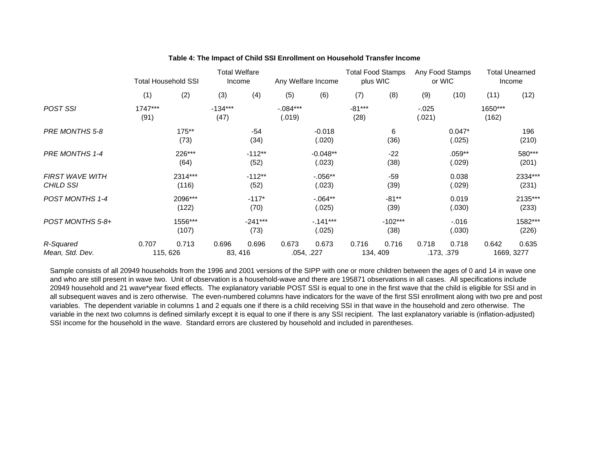|                                     | <b>Total Household SSI</b> |                   | <b>Total Welfare</b><br>Income |                   | Any Welfare Income  |                      | <b>Total Food Stamps</b><br>plus WIC |                   | Any Food Stamps<br>or WIC |                     | <b>Total Unearned</b><br>Income |                     |
|-------------------------------------|----------------------------|-------------------|--------------------------------|-------------------|---------------------|----------------------|--------------------------------------|-------------------|---------------------------|---------------------|---------------------------------|---------------------|
|                                     | (1)                        | (2)               | (3)                            | (4)               | (5)                 | (6)                  | (7)                                  | (8)               | (9)                       | (10)                | (11)                            | (12)                |
| <b>POST SSI</b>                     | 1747***<br>(91)            |                   | $-134***$<br>(47)              |                   | $-084***$<br>(.019) |                      | $-81***$<br>(28)                     |                   | $-0.025$<br>(.021)        |                     | 1650***<br>(162)                |                     |
| PRE MONTHS 5-8                      |                            | 175**<br>(73)     |                                | $-54$<br>(34)     |                     | $-0.018$<br>(.020)   |                                      | 6<br>(36)         |                           | $0.047*$<br>(.025)  |                                 | 196<br>(210)        |
| PRE MONTHS 1-4                      |                            | 226***<br>(64)    |                                | $-112**$<br>(52)  |                     | $-0.048**$<br>(.023) |                                      | $-22$<br>(38)     |                           | $.059**$<br>(.029)  |                                 | 580***<br>(201)     |
| <b>FIRST WAVE WITH</b><br>CHILD SSI |                            | 2314***<br>(116)  |                                | $-112**$<br>(52)  |                     | $-0.056**$<br>(.023) |                                      | $-59$<br>(39)     |                           | 0.038<br>(.029)     |                                 | 2334***<br>(231)    |
| POST MONTHS 1-4                     |                            | 2096***<br>(122)  |                                | $-117*$<br>(70)   |                     | $-0.064**$<br>(.025) |                                      | $-81**$<br>(39)   |                           | 0.019<br>(.030)     |                                 | 2135***<br>(233)    |
| POST MONTHS 5-8+                    |                            | 1556***<br>(107)  |                                | $-241***$<br>(73) |                     | $-.141***$<br>(.025) |                                      | $-102***$<br>(38) |                           | $-0.016$<br>(.030)  |                                 | 1582***<br>(226)    |
| R-Squared<br>Mean, Std. Dev.        | 0.707                      | 0.713<br>115, 626 | 0.696                          | 0.696<br>83, 416  | 0.673               | 0.673<br>.054, .227  | 0.716                                | 0.716<br>134, 409 | 0.718                     | 0.718<br>.173, .379 | 0.642                           | 0.635<br>1669, 3277 |

#### **Table 4: The Impact of Child SSI Enrollment on Household Transfer Income**

Sample consists of all 20949 households from the 1996 and 2001 versions of the SIPP with one or more children between the ages of 0 and 14 in wave one and who are still present in wave two. Unit of observation is a household-wave and there are 195871 observations in all cases. All specifications include 20949 household and 21 wave\*year fixed effects. The explanatory variable POST SSI is equal to one in the first wave that the child is eligible for SSI and in all subsequent waves and is zero otherwise. The even-numbered columns have indicators for the wave of the first SSI enrollment along with two pre and post variables. The dependent variable in columns 1 and 2 equals one if there is a child receiving SSI in that wave in the household and zero otherwise. The variable in the next two columns is defined similarly except it is equal to one if there is any SSI recipient. The last explanatory variable is (inflation-adjusted) SSI income for the household in the wave. Standard errors are clustered by household and included in parentheses.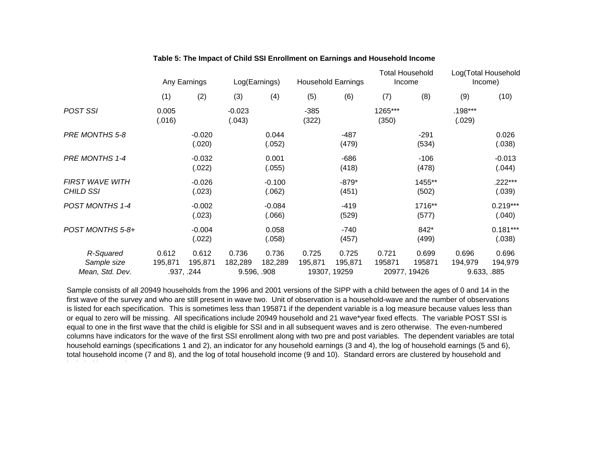|                                             | Any Earnings     |                                | Log(Earnings)      |                                 | <b>Household Earnings</b> |                                  | <b>Total Household</b><br>Income |                                 | Log(Total Household<br>Income) |                                 |
|---------------------------------------------|------------------|--------------------------------|--------------------|---------------------------------|---------------------------|----------------------------------|----------------------------------|---------------------------------|--------------------------------|---------------------------------|
|                                             | (1)              | (2)                            | (3)                | (4)                             | (5)                       | (6)                              | (7)                              | (8)                             | (9)                            | (10)                            |
| POST SSI                                    | 0.005<br>(.016)  |                                | $-0.023$<br>(.043) |                                 | $-385$<br>(322)           |                                  | 1265***<br>(350)                 |                                 | .198***<br>(.029)              |                                 |
| PRE MONTHS 5-8                              |                  | $-0.020$<br>(.020)             |                    | 0.044<br>(.052)                 |                           | $-487$<br>(479)                  |                                  | $-291$<br>(534)                 |                                | 0.026<br>(.038)                 |
| <b>PRE MONTHS 1-4</b>                       |                  | $-0.032$<br>(.022)             |                    | 0.001<br>(.055)                 |                           | $-686$<br>(418)                  |                                  | $-106$<br>(478)                 |                                | $-0.013$<br>(.044)              |
| <b>FIRST WAVE WITH</b><br>CHILD SSI         |                  | $-0.026$<br>(.023)             |                    | $-0.100$<br>(.062)              |                           | $-879*$<br>(451)                 |                                  | 1455**<br>(502)                 |                                | .222***<br>(.039)               |
| POST MONTHS 1-4                             |                  | $-0.002$<br>(.023)             |                    | $-0.084$<br>(.066)              |                           | $-419$<br>(529)                  |                                  | 1716**<br>(577)                 |                                | $0.219***$<br>(.040)            |
| POST MONTHS 5-8+                            |                  | $-0.004$<br>(.022)             |                    | 0.058<br>(.058)                 |                           | $-740$<br>(457)                  |                                  | 842*<br>(499)                   |                                | $0.181***$<br>(.038)            |
| R-Squared<br>Sample size<br>Mean, Std. Dev. | 0.612<br>195,871 | 0.612<br>195,871<br>.937, .244 | 0.736<br>182,289   | 0.736<br>182,289<br>9.596, .908 | 0.725<br>195,871          | 0.725<br>195,871<br>19307, 19259 | 0.721<br>195871                  | 0.699<br>195871<br>20977, 19426 | 0.696<br>194,979               | 0.696<br>194,979<br>9.633, .885 |

## **Table 5: The Impact of Child SSI Enrollment on Earnings and Household Income**

Sample consists of all 20949 households from the 1996 and 2001 versions of the SIPP with a child between the ages of 0 and 14 in the first wave of the survey and who are still present in wave two. Unit of observation is a household-wave and the number of observations is listed for each specification. This is sometimes less than 195871 if the dependent variable is a log measure because values less than or equal to zero will be missing. All specifications include 20949 household and 21 wave\*year fixed effects. The variable POST SSI is equal to one in the first wave that the child is eligible for SSI and in all subsequent waves and is zero otherwise. The even-numbered columns have indicators for the wave of the first SSI enrollment along with two pre and post variables. The dependent variables are total household earnings (specifications 1 and 2), an indicator for any household earnings (3 and 4), the log of household earnings (5 and 6), total household income (7 and 8), and the log of total household income (9 and 10). Standard errors are clustered by household and i l d di h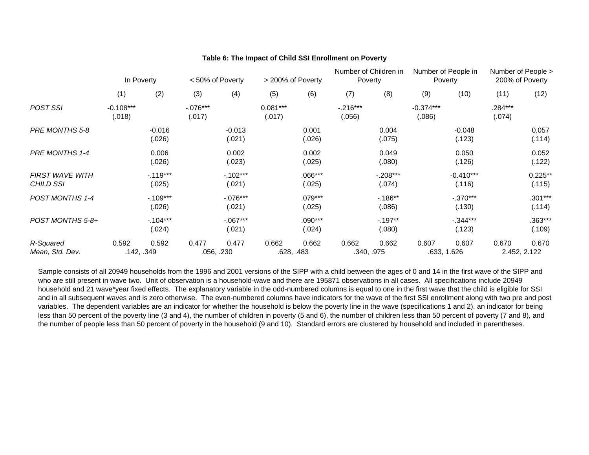|                                            | In Poverty            |                      | < 50% of Poverty     |                      | > 200% of Poverty    |                     | Number of Children in<br>Poverty |                      | Number of People in<br>Poverty |                       | Number of People ><br>200% of Poverty |                       |
|--------------------------------------------|-----------------------|----------------------|----------------------|----------------------|----------------------|---------------------|----------------------------------|----------------------|--------------------------------|-----------------------|---------------------------------------|-----------------------|
|                                            | (1)                   | (2)                  | (3)                  | (4)                  | (5)                  | (6)                 | (7)                              | (8)                  | (9)                            | (10)                  | (11)                                  | (12)                  |
| <b>POST SSI</b>                            | $-0.108***$<br>(.018) |                      | $-.076***$<br>(.017) |                      | $0.081***$<br>(.017) |                     | $-.216***$<br>(.056)             |                      | $-0.374***$<br>(.086)          |                       | .284***<br>(.074)                     |                       |
| PRE MONTHS 5-8                             |                       | $-0.016$<br>(.026)   |                      | $-0.013$<br>(.021)   |                      | 0.001<br>(.026)     |                                  | 0.004<br>(.075)      |                                | $-0.048$<br>(.123)    |                                       | 0.057<br>(.114)       |
| PRE MONTHS 1-4                             |                       | 0.006<br>(.026)      |                      | 0.002<br>(.023)      |                      | 0.002<br>(.025)     |                                  | 0.049<br>(.080)      |                                | 0.050<br>(.126)       |                                       | 0.052<br>(.122)       |
| <b>FIRST WAVE WITH</b><br><b>CHILD SSI</b> |                       | $-119***$<br>(.025)  |                      | $-102***$<br>(.021)  |                      | $.066***$<br>(.025) |                                  | $-.208***$<br>(.074) |                                | $-0.410***$<br>(.116) |                                       | $0.225**$<br>(.115)   |
| <b>POST MONTHS 1-4</b>                     |                       | $-.109***$<br>(.026) |                      | $-.076***$<br>(.021) |                      | .079***<br>(.025)   |                                  | $-186**$<br>(.086)   |                                | $-.370***$<br>(.130)  |                                       | $.301***$<br>(.114)   |
| POST MONTHS 5-8+                           |                       | $-.104***$<br>(.024) |                      | $-067***$<br>(.021)  |                      | .090***<br>(.024)   |                                  | $-197**$<br>(.080)   |                                | $-0.344***$<br>(.123) |                                       | .363***<br>(.109)     |
| R-Squared<br>Mean, Std. Dev.               | 0.592                 | 0.592<br>.142, .349  | 0.477                | 0.477<br>.056, .230  | 0.662<br>.628, .483  | 0.662               | 0.662                            | 0.662<br>.340, .975  | 0.607                          | 0.607<br>.633, 1.626  | 0.670                                 | 0.670<br>2.452, 2.122 |

#### **Table 6: The Impact of Child SSI Enrollment on Poverty**

Sample consists of all 20949 households from the 1996 and 2001 versions of the SIPP with a child between the ages of 0 and 14 in the first wave of the SIPP and who are still present in wave two. Unit of observation is a household-wave and there are 195871 observations in all cases. All specifications include 20949 household and 21 wave\*year fixed effects. The explanatory variable in the odd-numbered columns is equal to one in the first wave that the child is eligible for SSI and in all subsequent waves and is zero otherwise. The even-numbered columns have indicators for the wave of the first SSI enrollment along with two pre and post variables. The dependent variables are an indicator for whether the household is below the poverty line in the wave (specifications 1 and 2), an indicator for being less than 50 percent of the poverty line (3 and 4), the number of children in poverty (5 and 6), the number of children less than 50 percent of poverty (7 and 8), and the number of people less than 50 percent of poverty in the household (9 and 10). Standard errors are clustered by household and included in parentheses.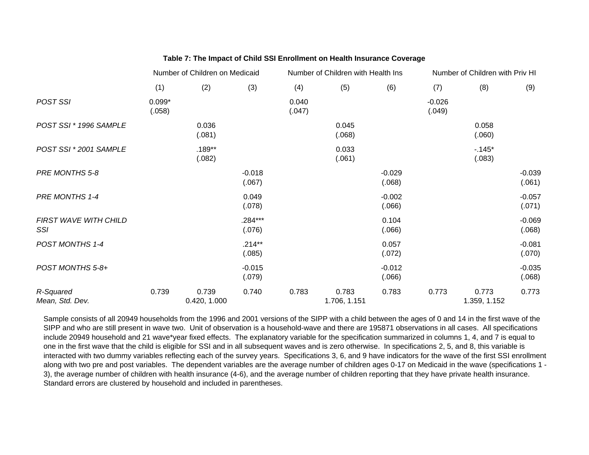|                              | Number of Children on Medicaid |                       |                     |                 | Number of Children with Health Ins |                    | Number of Children with Priv HI |                       |                    |  |
|------------------------------|--------------------------------|-----------------------|---------------------|-----------------|------------------------------------|--------------------|---------------------------------|-----------------------|--------------------|--|
|                              | (1)                            | (2)                   | (3)                 | (4)             | (5)                                | (6)                | (7)                             | (8)                   | (9)                |  |
| POST SSI                     | $0.099*$<br>(.058)             |                       |                     | 0.040<br>(.047) |                                    |                    | $-0.026$<br>(.049)              |                       |                    |  |
| POST SSI * 1996 SAMPLE       |                                | 0.036<br>(.081)       |                     |                 | 0.045<br>(.068)                    |                    |                                 | 0.058<br>(.060)       |                    |  |
| POST SSI * 2001 SAMPLE       |                                | $.189**$<br>(.082)    |                     |                 | 0.033<br>(.061)                    |                    |                                 | $-145*$<br>(.083)     |                    |  |
| PRE MONTHS 5-8               |                                |                       | $-0.018$<br>(.067)  |                 |                                    | $-0.029$<br>(.068) |                                 |                       | $-0.039$<br>(.061) |  |
| PRE MONTHS 1-4               |                                |                       | 0.049<br>(.078)     |                 |                                    | $-0.002$<br>(.066) |                                 |                       | $-0.057$<br>(.071) |  |
| FIRST WAVE WITH CHILD<br>SSI |                                |                       | $.284***$<br>(.076) |                 |                                    | 0.104<br>(.066)    |                                 |                       | $-0.069$<br>(.068) |  |
| POST MONTHS 1-4              |                                |                       | $.214**$<br>(.085)  |                 |                                    | 0.057<br>(.072)    |                                 |                       | $-0.081$<br>(.070) |  |
| POST MONTHS 5-8+             |                                |                       | $-0.015$<br>(.079)  |                 |                                    | $-0.012$<br>(.066) |                                 |                       | $-0.035$<br>(.068) |  |
| R-Squared<br>Mean, Std. Dev. | 0.739                          | 0.739<br>0.420, 1.000 | 0.740               | 0.783           | 0.783<br>1.706, 1.151              | 0.783              | 0.773                           | 0.773<br>1.359, 1.152 | 0.773              |  |

## **Table 7: The Impact of Child SSI Enrollment on Health Insurance Coverage**

Sample consists of all 20949 households from the 1996 and 2001 versions of the SIPP with a child between the ages of 0 and 14 in the first wave of the SIPP and who are still present in wave two. Unit of observation is a household-wave and there are 195871 observations in all cases. All specifications include 20949 household and 21 wave\*year fixed effects. The explanatory variable for the specification summarized in columns 1, 4, and 7 is equal to one in the first wave that the child is eligible for SSI and in all subsequent waves and is zero otherwise. In specifications 2, 5, and 8, this variable is interacted with two dummy variables reflecting each of the survey years. Specifications 3, 6, and 9 have indicators for the wave of the first SSI enrollment along with two pre and post variables. The dependent variables are the average number of children ages 0-17 on Medicaid in the wave (specifications 1 - 3), the average number of children with health insurance (4-6), and the average number of children reporting that they have private health insurance. Standard errors are clustered by household and included in parentheses.